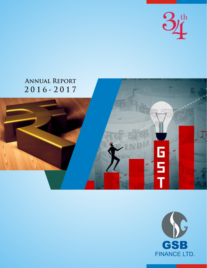

# **ANNUAL REPORT**  $2016 - 2017$ 6<br>5

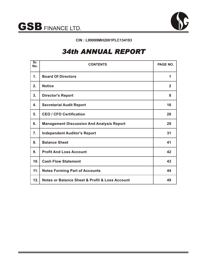



# **CIN : L99999MH2001PLC134193**

# *34th ANNUAL REPORT*

| $\overline{\mathsf{Sr.}}$<br>No. | <b>CONTENTS</b>                                               | PAGE NO.       |
|----------------------------------|---------------------------------------------------------------|----------------|
| $\mathbf 1$ .                    | <b>Board Of Directors</b>                                     | 1              |
| 2.                               | <b>Notice</b>                                                 | $\overline{2}$ |
| 3.                               | <b>Director's Report</b>                                      | 8              |
| 4.                               | <b>Secretarial Audit Report</b>                               | 16             |
| 5.                               | <b>CEO / CFO Certification</b>                                | 28             |
| 6.                               | <b>Management Discussion And Analysis Report</b>              | 29             |
| 7.                               | <b>Independent Auditor's Report</b>                           | 31             |
| 8.                               | <b>Balance Sheet</b>                                          | 41             |
| 9.                               | <b>Profit And Loss Account</b>                                | 42             |
| 10 <sub>1</sub>                  | <b>Cash Flow Statement</b>                                    | 43             |
| 11.                              | <b>Notes Forming Part of Accounts</b>                         | 44             |
| 12.                              | <b>Notes or Balance Sheet &amp; Profit &amp; Loss Account</b> | 49             |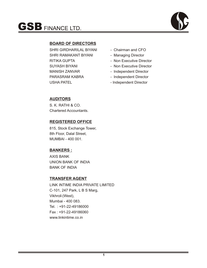

# **BOARD OF DIRECTORS**

SHRI GIRDHARILAL BIYANI - Chairman and CFO SHRI RAMAKANT BIYANI - Managing Director RITIKA GUPTA - Non Executive Director SUYASH BIYANI - Non Executive Director MANISH ZANVAR - Independent Director PARASRAM KABRA - Independent Director USHA PATEL **Independent Director** 

- 
- 
- 
- 
- 
- 
- 

# **AUDITORS**

S. K. RATHI & CO. Chartered Accountants.

# **REGISTERED OFFICE**

815, Stock Exchange Tower, 8th Floor, Dalal Street, MUMBAI - 400 001.

# **BANKERS :**

AXIS BANK UNION BANK OF INDIA BANK OF INDIA

# **TRANSFER AGENT**

LINK INTIME INDIA PRIVATE LIMITED C-101, 247 Park, L B S Marg, Vikhroli (West), Mumbai - 400 083. Tel. : +91-22-49186000 Fax : +91-22-49186060 www.linkintime.co.in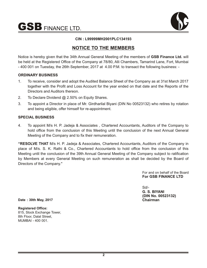$\mathbf{GSB}$  FINANCE LTD.



# **CIN : L99999MH2001PLC134193**

# **NOTICE TO THE MEMBERS**

Notice is hereby given that the 34th Annual General Meeting of the members of **GSB Finance Ltd.** will be held at the Registered Office of the Company at 78/80, Alli Chambers, Tamarind Lane, Fort, Mumbai - 400 001 on Tuesday, the 26th September, 2017 at 4.00 P.M. to transact the following business: -

# **ORDINARY BUSINESS**

- 1. To receive, consider and adopt the Audited Balance Sheet of the Company as at 31st March 2017 together with the Profit and Loss Account for the year ended on that date and the Reports of the Directors and Auditors thereon.
- 2. To Declare Dividend @ 2.50% on Equity Shares.
- 3. To appoint a Director in place of Mr. Girdharilal Biyani (DIN No 00523132) who retires by rotation and being eligible, offer himself for re-appointment.

# **SPECIAL BUSINESS**

4. To appoint M/s H. P. Jadeja & Associates , Chartered Accountants, Auditors of the Company to hold office from the conclusion of this Meeting until the conclusion of the next Annual General Meeting of the Company and to fix their remuneration.

**"RESOLVE THAT** M/s H. P. Jadeja & Associates, Chartered Accountants, Auditors of the Company in place of M/s. S. K. Rathi & Co., Chartered Accountants to hold office from the conclusion of this Meeting until the conclusion of the 39th Annual General Meeting of the Company subject to ratification by Members at every General Meeting on such remuneration as shall be decided by the Board of Directors of the Company."

> For and on behalf of the Board **For GSB FINANCE LTD**

Sd/- **G. S. BIYANI (DIN No. 00523132) Chairman**

**Date : 30th May, 2017**

**Registered Office:** 815, Stock Exchange Tower, 8th Floor, Dalal Street, MUMBAI - 400 001.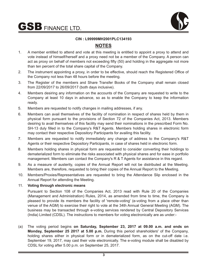$\mathbf{GSB}$  finance ltd.



# **CIN : L99999MH2001PLC134193**

# **NOTES**

- 1. A member entitled to attend and vote at this meeting is entitled to appoint a proxy to attend and vote instead of himself/herself and a proxy need not be a member of the Company. A person can act as proxy on behalf of members not exceeding fifty (50) and holding in the aggregate not more than ten percent of the total share capital of the Company.
- 2. The instrument appointing a proxy, in order to be effective, should reach the Registered Office of the Company not less than 48 hours before the meeting.
- 3. The Register of the members and Share Transfer Books of the Company shall remain closed from 22/09/2017 to 26/09/2017 (both days inclusive).
- 4. Members desiring any information on the accounts of the Company are requested to write to the Company at least 10 days in advance, so as to enable the Company to keep the information ready.
- 5. Members are requested to notify changes in mailing addresses, if any.
- 6. Members can avail themselves of the facility of nomination in respect of shares held by them in physical form pursuant to the provisions of Section 72 of the Companies Act, 2013. Members desiring to avail themselves of this facility may send their nominations in the prescribed Form No. SH-13 duly filled in to the Company's R&T Agents. Members holding shares in electronic form may contact their respective Depository Participants for availing this facility.
- 7. Members are requested to notify immediately any change of address to the Company's R&T Agents or their respective Depository Participants, in case of shares held in electronic form.
- 8. Members holding shares in physical form are requested to consider converting their holdings to dematerialized form to eliminate the risks associated with physical shares and for ease in portfolio management. Members can contact the Company's R & T Agents for assistance in this regard.
- 9. As a measure of austerity, copies of the Annual Report will not be distributed at the Meeting. Members are, therefore, requested to bring their copies of the Annual Report to the Meeting.
- 10. Members/Proxies/Representatives are requested to bring the Attendance Slip enclosed in the Annual Report for attending the Meeting.

# 11. **Voting through electronic means**

Pursuant to Section 108 of the Companies Act, 2013 read with Rule 20 of the Companies (Management and Administration) Rules, 2014, as amended from time to time, the Company is pleased to provide its members the facility of 'remote-voting' (e-voting from a place other than venue of the AGM) to exercise their right to vote at the 34th Annual General Meeting (AGM). The business may be transacted through e-voting services rendered by Central Depository Services (India) Limited (CDSL). The instructions to members for voting electronically are as under:-

(a) The voting period begins **on Saturday, September 23, 2017 at 09.00 a.m. and ends on Monday, September 25 2017 at 5.00 p.m.** During this period shareholders' of the Company, holding shares either in physical form or in dematerialized form, as on the cut-off date i.e. September 19, 2017, may cast their vote electronically. The e-voting module shall be disabled by CDSL for voting after 5.00 p.m. on September 25, 2017.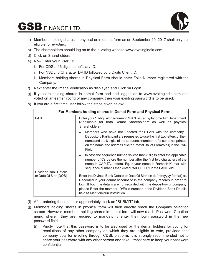# $\mathbf{GSB}$  FINANCE LTD.



- b) Members holding shares in physical or in demat form as on September 19, 2017 shall only be eligible for e-voting.
- c) The shareholders should log on to the-e-voting website www.evotingindia.com
- d) Click on Shareholders.
- e) Now Enter your User ID;
	- i. For CDSL: 16 digits beneficiary ID;
	- ii. For NSDL: 8 Character DP ID followed by 8 Digits Client ID;
	- iii. Members holding shares in Physical Form should enter Folio Number registered with the Company.
- f) Next enter the Image Verification as displayed and Click on Login.
- g) If you are holding shares in demat form and had logged on to www.evotingindia.com and voted on an earlier voting of any company, then your existing password is to be used.
- h) If you are a first time user follow the steps given below:

| For Members holding shares in Demat Form and Physical Form |                                                                                                                                                                                                                                                                                                                                                  |  |  |
|------------------------------------------------------------|--------------------------------------------------------------------------------------------------------------------------------------------------------------------------------------------------------------------------------------------------------------------------------------------------------------------------------------------------|--|--|
| <b>PAN</b>                                                 | Enter your 10 digit alpha-numeric *PAN issued by Income Tax Department<br>(Applicable for both Demat Shareholders as well as physical<br>Shareholders)                                                                                                                                                                                           |  |  |
|                                                            | Members who have not updated their PAN with the company /<br>Depository Participant are requested to use the first two letters of their<br>name and the 8 digits of the sequence number (refer serial no. printed<br>on the name and address sticker/Postal Ballot Form/Mail) in the PAN<br>Field.                                               |  |  |
| Dividend Bank Details                                      | In case the sequence number is less than 8 digits enter the applicable<br>$\bullet$<br>number of 0's before the number after the first two characters of the<br>name in CAPITAL letters. Eg. If your name is Ramesh Kumar with<br>sequence number 1 then enter RA00000001 in the PAN Field.                                                      |  |  |
| or Date Of Birth(DOB)                                      | Enter the Divined Bank Details or Date Of Birth (in dd/mm/yyyy format) as<br>Recorded in your demat account or in the company records in order to<br>login If both the details are not recorded with the depository or company<br>please Enter the member ID/Folio number in the Dividend Bank Details<br>field as Mentioned in instruction (v). |  |  |

- (i) After entering these details appropriately ,click on "SUBMIT" tab.
- (j) Members holding shares in physical form will then directly reach the Company selection screen. However, members holding shares in demat form will now reach 'Password Creation' menu wherein they are required to mandatorily enter their login password in the new password field.
	- (i) Kindly note that this password is to be also used by the demat holders for voting for resolutions of any other company on which they are eligible to vote, provided that company opts for e-voting through CDSL platform. It is strongly recommended not to share your password with any other person and take utmost care to keep your password confidential.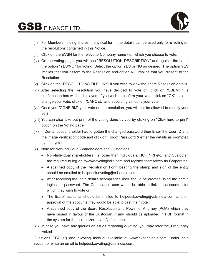

- (ii) For Members holding shares in physical form, the details can be used only for e-voting on the resolutions contained in this Notice.
- (iii) Click on the EVSN for the relevant<Company name> on which you choose to vote.
- (iv) On the voting page, you will see "RESOLUTION DESCRIPTION" and against the same the option "YES/NO" for voting. Select the option YES or NO as desired. The option YES implies that you assent to the Resolution and option NO implies that you dissent to the Resolution.
- (v) Click on the "RESOLUTIONS FILE LINK" if you wish to view the entire Resolution details.
- (vi) After selecting the Resolution you have decided to vote on, click on "SUBMIT". a confirmation box will be displayed. If you wish to confirm your vote, click on "OK", else to change your vote, click on "CANCEL" and accordingly modify your vote.
- (vii) Once you "CONFIRM" your vote on the resolution, you will not be allowed to modify your vote.
- (viii) You can also take out print of the voting done by you by clicking on "Click here to print" option on the Voting page.
- (ix) If Demat account holder has forgotten the changed password then Enter the User ID and the image verification code and click on Forgot Password & enter the details as prompted by the system.
- (x) Note for Non-Individual Shareholders and Custodians
	- Non-Individual shareholders (i.e. other than Individuals, HUF, NRI etc.) and Custodian are required to log on towww.evotingindia.com and register themselves as Corporates.
	- A scanned copy of the Registration Form bearing the stamp and sign of the entity should be emailed to helpdesk.evoting@cdslindia.com.
	- After receiving the login details acompliance user should be created using the admin login and password. The Compliance user would be able to link the account(s) for which they wish to vote on.
	- The list of accounts should be mailed to helpdesk.evoting@cdslindia.com and on approval of the accounts they would be able to cast their vote.
	- A scanned copy of the Board Resolution and Power of Attorney (POA) which they have issued in favour of the Custodian, if any, should be uploaded in PDF format in the system for the scrutinizer to verify the same.
- (xi) In case you have any queries or issues regarding e-voting, you may refer the, Frequently Asked.

Questions ("FAQs") and e-voting manual available at www.evotingindia.com, under help section or write an email to helpdesk.evoting@cdslindia.com.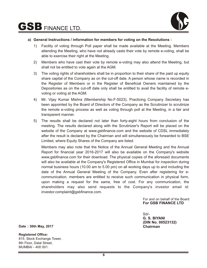

# **a) General Instructions / information for members for voting on the Resolutions :**

- 1) Facility of voting through Poll paper shall be made available at the Meeting. Members attending the Meeting, who have not already casts their vote by remote e-voting, shall be able to exercise their right at the Meeting.
- 2) Members who have cast their vote by remote e-voting may also attend the Meeting, but shall not be entitled to vote again at the AGM.
- 3) The voting rights of shareholders shall be in proportion to their share of the paid up equity share capital of the Company as on the cut-off date. A person whose name is recorded in the Register of Members or in the Register of Beneficial Owners maintained by the Depositories as on the cut-off date only shall be entitled to avail the facility of remote evoting or voting at the AGM.
- 4) Mr. Vijay Kumar Mishra (Membership No.F-5023), Practicing Company Secretary has been appointed by the Board of Directors of the Company as the Scrutinizer to scrutinize the remote e-voting process as well as voting through poll at the Meeting, in a fair and transparent manner.
- 5) The results shall be declared not later than forty-eight hours from conclusion of the meeting. The results declared along with the Scrutinizer's Report will be placed on the website of the Company at www.gsbfinance.com and the website of CDSL immediately after the result is declared by the Chairman and will simultaneously be forwarded to BSE Limited, where Equity Shares of the Company are listed.

Members may also note that the Notice of the Annual General Meeting and the Annual Report for financial year 2016-2017 will also be available on the Company's website www.gsbfinance.com for their download. The physical copies of the aforesaid documents will also be available at the Company's Registered Office in Mumbai for inspection during normal business hours (10.00 am to 5.00 pm) on all working days up to and including the date of the Annual General Meeting of the Company. Even after registering for ecommunication, members are entitled to receive such communication in physical form, upon making a request for the same, free of cost. For any communication, the shareholders may also send requests to the Company's investor email id: investor.complaint@gsbfinance.com.

> For and on behalf of the Board **For GSB FINANCE LTD**

Sd/- **G. S. BIYANI (DIN No. 00523132) Chairman**

**Date : 30th May, 2017**

**Registered Office:** 815, Stock Exchange Tower, 8th Floor, Dalal Street, MUMBAI - 400 001.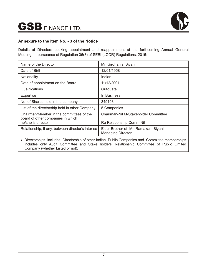

# **Annexure to the Item No. - 3 of the Notice**

Details of Directors seeking appointment and reappointment at the forthcoming Annual General Meeting. In pursuance of Regulation 36(3) of SEBI (LODR) Regulations, 2015:

| Name of the Director                                                                                                                                                                                                              | Mr. Girdharilal Biyani                                            |
|-----------------------------------------------------------------------------------------------------------------------------------------------------------------------------------------------------------------------------------|-------------------------------------------------------------------|
| Date of Birth                                                                                                                                                                                                                     | 12/01/1958                                                        |
| Nationality                                                                                                                                                                                                                       | Indian                                                            |
| Date of appointment on the Board                                                                                                                                                                                                  | 11/12/2001                                                        |
| Qualifications                                                                                                                                                                                                                    | Graduate                                                          |
| Expertise                                                                                                                                                                                                                         | In Business                                                       |
| No. of Shares held in the company                                                                                                                                                                                                 | 349103                                                            |
| List of the directorship held in other Company                                                                                                                                                                                    | 5 Companies                                                       |
| Chairman/Member in the committees of the<br>board of other companies in which                                                                                                                                                     | Chairman-Nil M-Stakeholder Committee                              |
| he/she is director                                                                                                                                                                                                                | Re Relationship Comm Nil                                          |
| Relationship, if any, between director's inter se                                                                                                                                                                                 | Elder Brother of Mr. Ramakant Biyani,<br><b>Managing Director</b> |
| • Directorships includes Directorship of other Indian Public Companies and Committee memberships<br>includes only Audit Committee and Stake holders' Relationship Committee of Public Limited<br>Company (whether Listed or not); |                                                                   |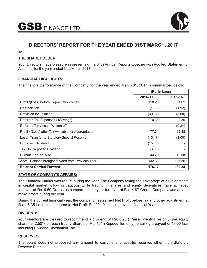

# **DIRECTORS' REPORT FOR THE YEAR ENDED 31ST MARCH, 2017**

To,

# **THE SHAREHOLDER,**

Your Directors' have pleasure in presenting the 34th Annual Reports together with Audited Statement of Accounts for the year ended 31st March 2017.

# **FINANCIAL HIGHLIGHTS:**

The financial performance of the Company, for the year ended March 31, 2017 is summarized below:

|                                                       | (Rs. in Lacs) |         |
|-------------------------------------------------------|---------------|---------|
|                                                       | 2016-17       | 2015-16 |
| Profit /(Loss) before Depreciation & Tax              | 118.28        | 31.02   |
| Depreciation                                          | (1.93)        | (1.92)  |
| Provision for Taxation                                | (39.37)       | (8.68)  |
| Deferred Tax Expenses / (Savings)                     | 0.33          | 0.30    |
| Deferred Tax Assets Written off                       |               | (0.84)  |
| Profit / (Loss) after Tax Available for Appropriation | 77.31         | 19.88   |
| Less:- Transfer to Statutory Special Reserve          | (15.47)       | (4.00)  |
| <b>Proposed Dividend</b>                              | (15.00)       |         |
| Tax On Proposed Dividend                              | (3.05)        |         |
| Surplus For the Year                                  | 43.79         | 15.88   |
| Add:- Balance brought forward from Previous Year      | 132.38        | 116.50  |
| <b>Balance Carried Forward</b>                        | 176.17        | 132.38  |

# **STATE OF COMPANY'S AFFAIRS:**

The Financial Market was robust during the year. The Company taking the advantage of developments in capital market following cautious while trading in shares and equity derivatives have achieved turnover at Rs. 9.50 Crores as compare to last year turnover at Rs.14.87 Crores.Company was able to make profits during the year.

During the current financial year, the company has earned Net Profit before tax and other adjustment at Rs 116.35 lakhs as compared to Net Profit Rs. 29.10lakhs in previous financial Year.

# **DIVIDEND:**

Your directors are pleased to recommend a dividend of Re. 0.25 ( Paisa Twenty Five only) per equity share i.e. 2.50% on each Equity Shares of Rs. 10/- (Rupees Ten only), entailing a payout of 18.05 lacs including Dividend Distribution Tax.

# **RESERVES:**

The board does not proposed any amount to carry to any specific reserves other than Statutory Reserve Fund.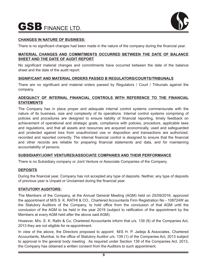

# **CHANGES IN NATURE OF BUSINESS:**

There is no significant changes had been made in the nature of the company during the financial year.

# **MATERIAL CHANGES AND COMMITMENTS OCCURRED BETWEEN THE DATE OF BALANCE SHEET AND THE DATE OF AUDIT REPORT**

No significant material changes and commitments have occurred between the date of the balance sheet and the date of the audit report.

# **SIGNIFICANT AND MATERIAL ORDERS PASSED B REGULATORS/COURTS/TRIBUNALS**

There are no significant and material orders passed by Regulators / Court / Tribunals against the company.

# **ADEQUACY OF INTERNAL FINANCIAL CONTROLS WITH REFERENCE TO THE FINANCIAL STATEMENTS**

The Company has in place proper and adequate internal control systems commensurate with the nature of its business, size and complexity of its operations. Internal control systems comprising of policies and procedures are designed to ensure liability of financial reporting, timely feedback on achievement of operational and strategic goals, compliance with policies, procedure, applicable laws and regulations, and that all assets and resources are acquired economically, used and safeguarded and protected against loss from unauthorized use or disposition and transactions are authorized, recorded and reported correctly. The internal financial control is designed to ensure that the financial and other records are reliable for preparing financial statements and data, and for maintaining accountability of persons.

# **SUBSIDIARY/JOINT VENTURES/ASSOCIATE COMPANIES AND THEIR PERFORMANCE**

There is no Subsidiary company or Joint Venture or Associate Companies of the Company.

# **DEPOSITS**

During the financial year, Company has not accepted any type of deposits. Neither, any type of deposits of previous year is Unpaid or Unclaimed during the financial year.

# **STATUTORY AUDITORS:**

The Members of the Company, at the Annual General Meeting (AGM) held on 25/09/2016, approved the appointment of M/S S. K. RATHI & CO., Chartered Accountants Firm Registration No - 108724W as the Statutory Auditors of the Company, to hold office from the conclusion of that AGM until the conclusion of the AGM to be held in the year 2019 (subject to ratification of the appointment by the Members at every AGM held after the above said AGM).

However, M/s. S. K. Rathi & Co, Chartered Accountants inform that u/s. 139 (9) of the Companies Act, 2013 they are not eligible for re-appointment.

In view of the above, the Directors proposed to appoint M/S H. P. Jadeja & Associates, Chartered Accountants, Mumbai, to the office of Statutory Auditor u/s. 139 (1) of the Companies Act, 2013 subject to approval in the general body meeting . As required under Section 139 of the Companies Act, 2013, the Company has obtained a written consent from the Auditors to such appointment.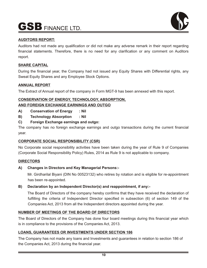

# **AUDITORS REPORT:**

Auditors had not made any qualification or did not make any adverse remark in their report regarding financial statements. Therefore, there is no need for any clarification or any comment on Auditors report.

# **SHARE CAPITAL**

During the financial year, the Company had not issued any Equity Shares with Differential rights, any Sweat Equity Shares and any Employee Stock Options.

# **ANNUAL REPORT**

The Extract of Annual report of the company in Form MGT-9 has been annexed with this report.

# **CONSERVATION OF ENERGY, TECHNOLOGY, ABSORPTION, AND FOREIGN EXCHANGE EARNINGS AND OUTGO**

- **A) Conservation of Energy : Nil**
- **B) Technology Absorption : Nil**

# **C) Foreign Exchange earnings and outgo:**

The company has no foreign exchange earnings and outgo transactions during the current financial year.

# **CORPORATE SOCIAL RESPONSIBILITY (CSR)**

No Corporate social responsibility activities have been taken during the year of Rule 9 of Companies (Corporate Social Responsibility Policy) Rules, 2014 as Rule 9 is not applicable to company.

# **DIRECTORS**

# **A) Changes in Directors and Key Managerial Persons:-**

Mr. Girdharilal Biyani (DIN No 00523132) who retires by rotation and is eligible for re-appointment has been re-appointed.

# **B) Declaration by an Independent Director(s) and reappointment, if any:-**

The Board of Directors of the company hereby confirms that they have received the declaration of fulfilling the criteria of Independent Director specified in subsection (6) of section 149 of the Companies Act, 2013 from all the Independent directors appointed during the year.

# **NUMBER OF MEETINGS OF THE BOARD OF DIRECTORS**

The Board of Directors of the Company has done four board meetings during this financial year which is in compliance to the provisions of the Companies Act, 2013.

# **LOANS, GUARANTEES OR INVESTMENTS UNDER SECTION 186**

The Company has not made any loans and Investments and guarantees in relation to section 186 of the Companies Act, 2013 during the financial year.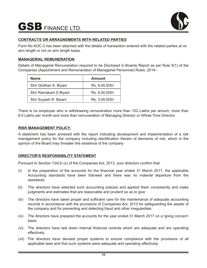

# **CONTRACTS OR ARRAGNEMENTS WITH RELATED PARTIES**

Form No AOC-2 has been attached with the details of transaction entered with the related parties at on arm length or not on arm length basis.

# **MANAGERIAL REMUNERATION**

Details of Managerial Remuneration required to be Disclosed in Boards Report as per Rule 5(1) of the Companies (Appointment and Remuneration of Managerial Personnel) Rules, 2014:-

| <b>Name</b>             | Amount         |
|-------------------------|----------------|
| Shri Girdhari S. Biyani | Rs. 6,00,000/- |
| Shri Ramakant S Biyani  | Rs. 6,00,000/- |
| Shri Suyash R. Biyani   | Rs. 3,00,000/- |

There is no employee who is withdrawing remuneration more than 102 Lakhs per annum, more than 8.5 Lakhs per month and more than remuneration of Managing Director or Whole Time Director.

# **RISK MANAGEMENT POLICY:**

A statement has been annexed with the report indicating development and implementation of a risk management policy for the company including identification therein of elements of risk, which in the opinion of the Board may threaten the existence of the company

# **DIRECTOR'S RESPONSIBILITY STATEMENT**

Pursuant to Section 134(3) (c) of the Companies Act, 2013, your directors confirm that:

- (i) In the preparation of the accounts for the financial year ended 31 March 2017, the applicable Accounting standards have been followed and there was no material departure from the standards;
- (ii) The directors have selected such accounting policies and applied them consistently and make judgments and estimates that are reasonable and prudent so as to give
- (iii) The directors have taken proper and sufficient care for the maintenance of adequate accounting records in accordance with the provisions of Companies Act, 2013 for safeguarding the assets of the company and for preventing and detecting fraud and other irregularities;
- (iv) The directors have prepared the accounts for the year ended 31 March 2017 on a 'going concern' basis.
- (vi) The directors have laid down internal financial controls which are adequate and are operating effectively.
- (vii) The directors have devised proper systems to ensure compliance with the provisions of all applicable laws and that such systems were adequate and operating effectively.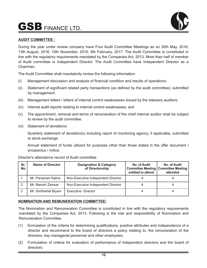

# **AUDIT COMMITTEE :**

During the year under review company have Four Audit Committee Meetings as on 30th May, 2016; 13th August, 2016; 10th November, 2016; 8th February, 2017. The Audit Committee is constituted in line with the regulatory requirements mandated by the Companies Act, 2013. More than half of member of Audit committee is Independent Director. The Audit Committee have Independent Director as a Chairman.

The Audit Committee shall mandatorily review the following information:

- (i) Management discussion and analysis of financial condition and results of operations;
- (ii) Statement of significant related party transactions (as defined by the audit committee), submitted by management;
- (iii) Management letters / letters of internal control weaknesses issued by the statutory auditors;
- (iv) Internal audit reports relating to internal control weaknesses; and
- (v) The appointment, removal and terms of remuneration of the chief internal auditor shall be subject to review by the audit committee.
- (vi) Statement of deviations:

Quarterly statement of deviation(s) including report of monitoring agency, if applicable, submitted to stock exchange.

Annual statement of funds utilized for purposes other than those stated in the offer document / prospectus / notice.

| Sr.<br>No | <b>Name of Director</b> | <b>Designation &amp; Category</b><br>of Directorship | No. of Audit<br><b>Committee Meeting   Committee Meeting</b><br>entitled to attend | No. of Audit<br>attended |
|-----------|-------------------------|------------------------------------------------------|------------------------------------------------------------------------------------|--------------------------|
|           | Mr. Parasram Kabra      | Non-Executive Independent Director                   |                                                                                    |                          |
|           | Mr. Manish Zanwar       | Non-Executive Independent Director                   |                                                                                    |                          |
| 3         | Mr. Girdharilal Biyani  | <b>Executive Director</b>                            |                                                                                    |                          |

Director's attendance record of Audit committee

# **NOMINATION AND REMUNERATION COMMITTEE:**

The Nomination and Remuneration Committee is constituted in line with the regulatory requirements mandated by the Companies Act, 2013. Following is the role and responsibility of Nomination and Remuneration Committee.

- (1) formulation of the criteria for determining qualifications, positive attributes and independence of a director and recommend to the board of directors a policy relating to, the remuneration of the directors, key managerial personnel and other employees;
- (2) Formulation of criteria for evaluation of performance of independent directors and the board of directors;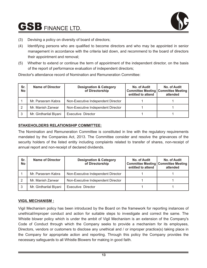

- (3) Devising a policy on diversity of board of directors;
- (4) Identifying persons who are qualified to become directors and who may be appointed in senior management in accordance with the criteria laid down, and recommend to the board of directors their appointment and removal;
- (5) Whether to extend or continue the term of appointment of the independent director, on the basis of the report of performance evaluation of independent directors;

| Sr.<br>No | <b>Name of Director</b> | <b>Designation &amp; Category</b><br>of Directorship | No. of Audit<br>entitled to attend | No. of Audit<br><b>Committee Meeting   Committee Meeting</b><br>attended |
|-----------|-------------------------|------------------------------------------------------|------------------------------------|--------------------------------------------------------------------------|
|           | Mr. Parasram Kabra      | Non-Executive Independent Director                   |                                    |                                                                          |
|           | Mr. Manish Zanwar       | Non-Executive Independent Director                   |                                    |                                                                          |
|           | Mr. Girdharilal Biyani  | Executive Director                                   |                                    |                                                                          |

Director's attendance record of Nomination and Remuneration Committee:

# **STAKEHOLDERS RELATIONSHIP COMMITTEE:**

The Nomination and Remuneration Committee is constituted in line with the regulatory requirements mandated by the Companies Act, 2013. The Committee consider and resolve the grievances of the security holders of the listed entity including complaints related to transfer of shares, non-receipt of annual report and non-receipt of declared dividends.

| Sr.<br><b>No</b> | <b>Name of Director</b> | <b>Designation &amp; Category</b><br>of Directorship | No. of Audit<br>entitled to attend | No. of Audit<br><b>Committee Meeting   Committee Meeting</b><br>attended |
|------------------|-------------------------|------------------------------------------------------|------------------------------------|--------------------------------------------------------------------------|
|                  | Mr. Parasram Kabra      | Non-Executive Independent Director                   |                                    |                                                                          |
|                  | Mr. Manish Zanwar       | Non-Executive Independent Director                   |                                    |                                                                          |
| 3                | Mr. Girdharilal Biyani  | Executive Director                                   |                                    |                                                                          |

# **VIGIL MECHANISM :**

Vigil Mechanism policy has been introduced by the Board on the framework for reporting instances of unethical/improper conduct and action for suitable steps to investigate and correct the same. The Whistle blower policy which is under the ambit of Vigil Mechanism is an extension of the Company's Code of Conduct through which the Company seeks to provide a mechanism for its employees, Directors, vendors or customers to disclose any unethical and / or improper practice(s) taking place in the Company for appropriate action and reporting. Through this policy the Company provides the necessary safeguards to all Whistle Blowers for making in good faith.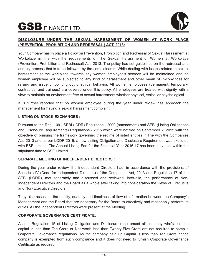

# **DISCLOSURE UNDER THE SEXUAL HARESSMENT OF WOMEN AT WORK PLACE (PREVENTION, PROHIBITION AND REDRESSAL ) ACT, 2013:**

Your Company has in place a Policy on Prevention, Prohibition and Redressal of Sexual Harassment at Workplace in line with the requirements of The Sexual Harassment of Women at Workplace (Prevention, Prohibition and Redressal) Act, 2013. The policy has set guidelines on the redressal and enquiry process that is to be followed by the complainants. While dealing with issues related to sexual harassment at the workplace towards any women employee's secrecy will be maintained and no women employee will be subjected to any kind of harassment and other mean of in-convinces for raising and issue or pointing out unethical behavior. All women employees (permanent, temporary, contractual and trainees) are covered under this policy. All employees are treated with dignity with a view to maintain an environment free of sexual harassment whether physical, verbal or psychological.

It is further reported that no women employee during the year under review has approach the management for having a sexual harassment complaint.

# **LISTING ON STOCK EXCHANGES :**

Pursuant to the Reg. 109 - SEBI (ICDR) Regulation - 2009 (amendment) and SEBI (Listing Obligations and Disclosure Requirements) Regulations - 2015 which were notified on September 2, 2015 with the objective of bringing the framework governing the regime of listed entities in line with the Companies Act, 2013 and as per LODR 2015, a new Listing Obligation and Disclosure Requirement was executed with BSE Limited. The Annual Listing Fee for the Financial Year 2016-17 has been duly paid within the stipulated time to BSE Limited.

# **SEPARATE MEETING OF INDEPENDENT DIRECTORS :**

During the year under review, the Independent Directors had, in accordance with the provisions of Schedule IV (Code for Independent Directors) of the Companies Act, 2013 and Regulation 17 of the SEBI (LODR), met separately and discussed and reviewed, inter-alia, the performance of Non-Independent Directors and the Board as a whole after taking into consideration the views of Executive and Non-Executive Directors.

They also assessed the quality, quantity and timeliness of flow of information between the Company's Management and the Board that are necessary for the Board to effectively and reasonably perform its duties. All the Independent Directors were present at the Meeting.

# **CORPORATE GOVERNANCE CERTIFICATE:**

As per Regulation 15 of Listing Obligation and Disclosure requirement all company who's paid up capital is less than Ten Crore or Net worth less than Twenty-Five Crore are not required to compile Corporate Governance regulations. As the company paid up Capital is less than Ten Crore hence company is exempted from such compliance and it does not need to furnish Corporate Governance Certificate as required.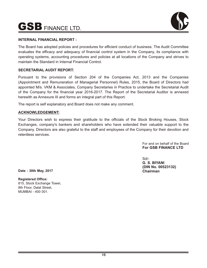

# **INTERNAL FINANCIAL REPORT :**

The Board has adopted policies and procedures for efficient conduct of business. The Audit Committee evaluates the efficacy and adequacy of financial control system in the Company, its compliance with operating systems, accounting procedures and policies at all locations of the Company and strives to maintain the Standard in Internal Financial Control.

# **SECRETARIAL AUDIT REPORT:**

Pursuant to the provisions of Section 204 of the Companies Act, 2013 and the Companies (Appointment and Remuneration of Managerial Personnel) Rules, 2015, the Board of Directors had appointed M/s. VKM & Associates, Company Secretaries in Practice to undertake the Secretarial Audit of the Company for the financial year 2016-2017. The Report of the Secretarial Auditor is annexed herewith as Annexure III and forms an integral part of this Report.

The report is self explanatory and Board does not make any comment.

# **ACKNOWLEDGEMENT:**

Your Directors wish to express their gratitude to the officials of the Stock Broking Houses, Stock Exchanges, company's bankers and shareholders who have extended their valuable support to the Company. Directors are also grateful to the staff and employees of the Company for their devotion and relentless services.

> For and on behalf of the Board **For GSB FINANCE LTD**

Sd/- **G. S. BIYANI (DIN No. 00523132) Chairman**

**Date : 30th May, 2017**

**Registered Office:** 815, Stock Exchange Tower, 8th Floor, Dalal Street, MUMBAI - 400 001.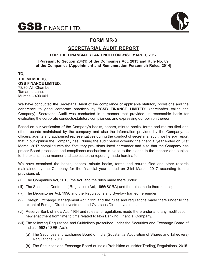

# **FORM MR-3**

# **SECRETARIAL AUDIT REPORT**

# **FOR THE FINANCIAL YEAR ENDED ON 31ST MARCH, 2017**

**[Pursuant to Section 204(1) of the Companies Act, 2013 and Rule No. 09 of the Companies (Appointment and Remuneration Personnel) Rules, 2014**]

**TO, THE MEMBERS, GSB FINANCE LIMITED,** 78/80, Alli Chamber, Tamarind Lane, Mumbai - 400 001.

We have conducted the Secretarial Audit of the compliance of applicable statutory provisions and the adherence to good corporate practices by **"GSB FINANCE LIMITED"** (hereinafter called the Company). Secretarial Audit was conducted in a manner that provided us reasonable basis for evaluating the corporate conducts/statutory compliances and expressing our opinion thereon.

Based on our verification of the Company's books, papers, minute books, forms and returns filed and other records maintained by the company and also the information provided by the Company, its officers, agents and authorised representatives during the conduct of secretarial audit, we hereby report that in our opinion the Company has , during the audit period covering the financial year ended on 31st March, 2017 complied with the Statutory provisions listed hereunder and also that the Company has proper Board-processes and compliance-mechanism in place to the extent, in the manner and subject to the extent, in the manner and subject to the reporting made hereinafter.

We have examined the books, papers, minute books, forms and returns filed and other records maintained by the Company for the financial year ended on 31st March, 2017 according to the provisions of;

- (ii) The Companies Act, 2013 (the Act) and the rules made there under;
- (iii) The Securities Contracts ( Regulation) Act, 1956(SCRA) and the rules made there under;
- (iv) The Depositories Act, 1996 and the Regulations and Bye-law framed hereunder;
- (v) Foreign Exchange Management Act, 1999 and the rules and regulations made there under to the extent of Foreign Direct Investment and Overseas Direct Investment;
- (vi) Reserve Bank of India Act, 1934 and rules and regulations made there under and any modification, new enactment from time to time related to Non Banking Financial Company.
- (vii) The following Regulations and Guidelines prescribed under the Securities and Exchange Board of India , 1992 ( ' SEBI Act');
	- (a) The Securities and Exchange Board of India (Substantial Acquisition of Shares and Takeovers) Regulations, 2011;
	- (b) The Securities and Exchange Board of India (Prohibition of Insider Trading) Regulations, 2015.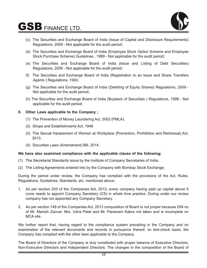

- (c) The Securities and Exchange Board of India (Issue of Capital and Disclosure Requirements) Regulations, 2009 - Not applicable for the audit period;
- (d) The Securities and Exchange Board of India (Employee Stock Option Scheme and Employee Stock Purchase Scheme) Guidelines , 1999 - Not applicable for the audit period;
- (e) The Securities and Exchange Board of India (Issue and Listing of Debt Securities) Regulations, 2008 - Not applicable for the audit period;
- (f) The Securities and Exchange Board of India (Registration to an Issue and Share Transfers Agents ) Regulations, 1993;
- (g) The Securities and Exchange Board of India (Delisting of Equity Shares) Regulations, 2009 Not applicable for the audit period;
- (h) The Securities and Exchange Board of India (Buyback of Securities ) Regulations, 1998 Not applicable for the audit period;

# **II. Other Laws applicable to the Company ;**

- (1) The Prevention of Money Laundering Act, 2002 (PMLA).
- (2) Shops and Establishments Act, 1948
- (3) The Sexual Harassment of Women at Workplace (Prevention, Prohibition and Redressal) Act, 2013.
- (4) Securities Laws (Amendment) Bill, 2014.

# **We have also examined compliance with the applicable clause of the following;**

- (1) The Secretarial Standards issue by the Institute of Company Secretaries of India.
- (2) The Listing Agreements entered into by the Company with Bombay Stock Exchange.

During the period under review, the Company has complied with the provisions of the Act, Rules, Regulations, Guidelines, Standards, etc. mentioned above:

- 1. As per section 203 of the Companies Act, 2013, every company having paid up capital above 5 crore needs to appoint Company Secretary (CS) in whole time practice. During under our review company has not appointed any Company Secretary.
- 2. As per section 149 of the Companies Act, 2013 composition of Board is not proper because DIN no of Mr. Manish Zanvar, Mrs. Usha Patel and Mr. Parasram Kabra not taken and is incomplete on MCA site.

We further report that, having regard to the compliance system prevailing in the Company and on examination of the relevant documents and records in pursuance thereof, on test-check basis, the Company has complied with the other laws applicable to the Company.

The Board of Directors of the Company is duly constituted with proper balance of Executive Directors, Non-Executive Directors and Independent Directors. The changes in the composition of the Board of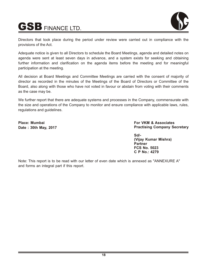



Directors that took place during the period under review were carried out in compliance with the provisions of the Act.

Adequate notice is given to all Directors to schedule the Board Meetings, agenda and detailed notes on agenda were sent at least seven days in advance, and a system exists for seeking and obtaining further information and clarification on the agenda items before the meeting and for meaningful participation at the meeting.

All decision at Board Meetings and Committee Meetings are carried with the consent of majority of director as recorded in the minutes of the Meetings of the Board of Directors or Committee of the Board, also along with those who have not voted in favour or abstain from voting with their comments as the case may be.

We further report that there are adequate systems and processes in the Company, commensurate with the size and operations of the Company to monitor and ensure compliance with applicable laws, rules, regulations and guidelines.

**Place: Mumbai Date : 30th May, 2017** **For VKM & Associates Practising Company Secretary**

**Sd/- (Vijay Kumar Mishra) Partner FCS No. 5023 C P No.: 4279**

Note: This report is to be read with our letter of even date which is annexed as "ANNEXURE A" and forms an integral part if this report.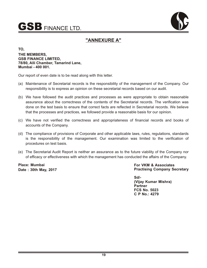



# **"ANNEXURE A"**

**TO, THE MEMBERS, GSB FINANCE LIMITED, 78/80, Alli Chamber, Tamarind Lane, Mumbai - 400 001.**

Our report of even date is to be read along with this letter.

- (a) Maintenance of Secretarial records is the responsibility of the management of the Company. Our responsibility is to express an opinion on these secretarial records based on our audit.
- (b) We have followed the audit practices and processes as were appropriate to obtain reasonable assurance about the correctness of the contents of the Secretarial records. The verification was done on the test basis to ensure that correct facts are reflected in Secretarial records. We believe that the processes and practices, we followed provide a reasonable basis for our opinion.
- (c) We have not verified the correctness and appropriateness of financial records and books of accounts of the Company.
- (d) The compliance of provisions of Corporate and other applicable laws, rules, regulations, standards is the responsibility of the management. Our examination was limited to the verification of procedures on test basis.
- (e) The Secretarial Audit Report is neither an assurance as to the future viability of the Company nor of efficacy or effectiveness with which the management has conducted the affairs of the Company.

**Place: Mumbai Date : 30th May, 2017** **For VKM & Associates Practising Company Secretary**

**Sd/- (Vijay Kumar Mishra) Partner FCS No. 5023 C P No.: 4279**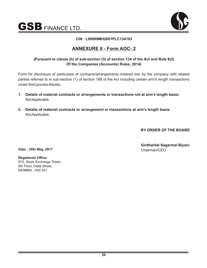

# **CIN : L99999MH2001PLC134193**

# **ANNEXURE II - Form AOC- 2**

# **(Pursuant to clause (h) of sub-section (3) of section 134 of the Act and Rule 8(2) Of the Companies (Accounts) Rules, 2014)**

Form for disclosure of particulars of contracts/arrangements entered into by the company with related parties referred to in sub-section (1) of section 188 of the Act including certain arm's length transactions under third proviso thereto:

- **1. Details of material contracts or arrangements or transactions not at arm's length basis:** Not Applicable
- **2. Details of material contracts or arrangement or transactions at arm's length basis:**  Not Applicable

**BY ORDER OF THE BOARD**

**Girdharilal Sagarmal Biyani**

**Date : 30th May, 2017** Chairman/CEO

**Registered Office:** 815, Stock Exchange Tower, 8th Floor, Dalal Street, MUMBAI - 400 001.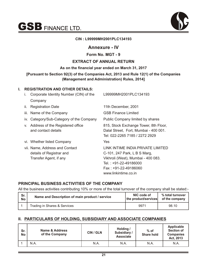

# **CIN : L99999MH2001PLC134193**

# **Annexure - IV**

# **Form No. MGT - 9**

# **EXTRACT OF ANNUAL RETURN**

# **As on the financial year ended on March 31, 2017**

# **[Pursuant to Section 92(3) of the Companies Act, 2013 and Rule 12(1) of the Companies (Management and Administration) Rules, 2014]**

# **I. REGISTRATION AND OTHER DETAILS:**

| İ. | Corporate Identity Number (CIN) of the                                               | L99999MH2001PLC134193                                                                                                                                                            |
|----|--------------------------------------------------------------------------------------|----------------------------------------------------------------------------------------------------------------------------------------------------------------------------------|
|    | Company                                                                              |                                                                                                                                                                                  |
| Ш. | <b>Registration Date</b>                                                             | 11th December, 2001                                                                                                                                                              |
|    | iii. Name of the Company                                                             | <b>GSB Finance Limited</b>                                                                                                                                                       |
|    | iv. Category/Sub-Category of the Company                                             | Public Company limited by shares                                                                                                                                                 |
|    | v. Address of the Registered office<br>and contact details                           | 815, Stock Exchange Tower, 8th Floor,<br>Dalal Street, Fort, Mumbai - 400 001.<br>Tel: 022-2265 7185 / 2272 2929                                                                 |
|    | vi. Whether listed Company                                                           | <b>Yes</b>                                                                                                                                                                       |
|    | vii. Name, Address and Contact<br>details of Registrar and<br>Transfer Agent, if any | LINK INTIME INDIA PRIVATE LIMITED<br>C-101, 247 Park, L B S Marg,<br>Vikhroli (West), Mumbai - 400 083.<br>Tel.: +91-22-49186000<br>Fax: +91-22-49186060<br>www.linkintime.co.in |

# **PRINCIPAL BUSINESS ACTIVITIES OF THE COMPANY**

All the business activities contributing 10% or more of the total turnover of the company shall be stated:-

| Sr.       | Name and Description of main product / service | NIC code of          | % total turnover |
|-----------|------------------------------------------------|----------------------|------------------|
| <b>No</b> |                                                | the product/services | of the company   |
|           | Trading in Shares & Services                   | 9971                 | 98.10            |

# **II. PARTICULARS OF HOLDING, SUBSIDIARY AND ASSOCIATE COMPANIES**

| Sr.<br><b>No</b> | Name & Address<br>of the Company | CIN / GLN | Holding /<br>Subsidiary /<br><b>Associate</b> | $%$ of<br><b>Share hold</b> | Applicable<br><b>Section of</b><br><b>Companies</b><br>Act, 2013 |
|------------------|----------------------------------|-----------|-----------------------------------------------|-----------------------------|------------------------------------------------------------------|
|                  | N.A.                             | N.A.      | N.A.                                          | N.A.                        | N.A.                                                             |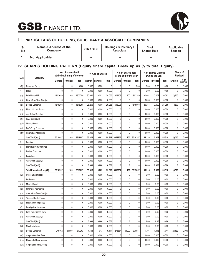

# **III. PARTICULARS OF HOLDING, SUBSIDIARY & ASSOCIATE COMPANIES**

| Sr.<br>No | Name & Address of the<br>Company | CIN / GLN | Holding / Subsidiary /<br><b>Associate</b> | $%$ of<br><b>Shares Held</b> | Applicable<br><b>Section</b> |
|-----------|----------------------------------|-----------|--------------------------------------------|------------------------------|------------------------------|
|           | Not Applicable                   | $- -$     | $-$                                        | $-$                          | $-$                          |

# **IV. SHARES HOLDING PATTERN (Equity Share capital Break up as % to total Equity)**

| Code      | Category                       | No. of shares held<br>at the beginning of the year |              | % Age of Shares |        |          | No. of shares held<br>at the end of the year |                |              | % of Shares Change<br>During the year |        | Share of<br>Pledged |        |               |                         |
|-----------|--------------------------------|----------------------------------------------------|--------------|-----------------|--------|----------|----------------------------------------------|----------------|--------------|---------------------------------------|--------|---------------------|--------|---------------|-------------------------|
|           |                                | Demat                                              | Physical     | Total           | Demat  | Physical | Total                                        | Demat          | Physical     | Total                                 | Demat  | Physical            | Total  | <b>Shares</b> | $%$ of<br><b>Shares</b> |
| (A)       | Promoter Group                 | $\mathbf 0$                                        | $\mathbf 0$  | 0.000           | 0.000  | 0.000    |                                              | 0              | 0            | 0.00                                  | 0.00   | 0.00                | 0.00   | $\mathbf 0$   | 0.000                   |
| 1.        | Indian                         | 0                                                  | $\mathbf 0$  | $\overline{0}$  | 0.000  | 0.000    | 0.000                                        | 0              | $\mathbf{0}$ | $\mathbf{0}$                          | 0.00   | 0.00                | 0.00   | $\mathbf 0$   | 0.000                   |
| (a)       | Individual/HUF                 | 1803659                                            | 100          | 1803759         | 30.061 | 0.002    | 30.063                                       | 1803159        | 100          | 1803259                               | 30.061 | 0.002               | 30.063 | $(-)500$      | 0.000                   |
| (b)       | Cent. Govt/State Govt(s)       | 0                                                  | $\mathbf 0$  | $\overline{0}$  | 0.000  | 0.000    | 0.000                                        | 0              | $\mathbf{0}$ | $\mathbf{0}$                          | 0.000  | 0.000               | 0.000  | $\theta$      | 0.000                   |
| (c)       | <b>Bodies Corporate</b>        | 1515298                                            | $\theta$     | 1515298         | 25.255 | 0.000    | 25.255                                       | 1515098        | 0            | 1515098                               | 25.255 | 0.000               | 25.255 | $(-)200$      | 0.000                   |
| (d)       | Financial Insti./Banks         | 0                                                  | 0            | $\overline{0}$  | 0.000  | 0.000    | 0.000                                        | 0              | 0            | 0                                     | 0.000  | 0.000               | 0.000  | $\mathbf{0}$  | 0.000                   |
| (e)       | Any Other(Specify)             | $\pmb{0}$                                          | $\mathbf 0$  | $\overline{0}$  | 0.000  | 0.000    | 0.000                                        | 0              | 0            | 0                                     | 0.000  | 0.000               | 0.000  | $\mathbf 0$   | 0.000                   |
| (ei)      | PAC-Individuals                | $\mathbf 0$                                        | $\mathbf 0$  | $\overline{0}$  | 0.000  | 0.000    | 0.000                                        | 0              | $\mathbf 0$  | $\mathbf 0$                           | 0.000  | 0.000               | 0.000  | $\mathbf{0}$  | 0.000                   |
| (eii)     | <b>Mututal Fund</b>            | 0                                                  | $\theta$     | $\overline{0}$  | 0.000  | 0.000    | 0.000                                        | $\mathbf 0$    | $\mathbf{0}$ | $\mathbf 0$                           | 0.000  | 0.000               | 0.000  | $\mathbf{0}$  | 0.000                   |
| (eiii     | PAC-Body Corporate             | 0                                                  | $\mathbf{0}$ | $\overline{0}$  | 0.000  | 0.000    | 0.000                                        | 0              | 0            | $\mathbf 0$                           | 0.000  | 0.000               | 0.000  | $\mathbf{0}$  | 0.000                   |
| (eiv      | Non Govt. Institutions         | 0                                                  | $\Omega$     | $\Omega$        | 0.000  | 0.000    | 0.000                                        | $\Omega$       | $\mathbf{0}$ | $\mathbf{0}$                          | 0.000  | 0.000               | 0.000  | $\mathbf{0}$  | 0.000                   |
|           | Sub Total(A)(1)                | 3318957                                            | 100          | 3319057         | 55.316 | 0.002    | 55.318                                       | 3318257        | 100          | 3318357                               | 55.316 | 0.002               | 55.318 | $(-)700$      | 0.000                   |
| 2.        | Foreign                        | $\pmb{0}$                                          | $\pmb{0}$    | 0               | 0.000  | 0.000    | 0.000                                        | 0              | 0            | $\mathbf 0$                           | 0.000  | 0.000               | 0.000  | $\mathbf 0$   | 0.000                   |
| a         | Individual(NRI/Frgn Ind)       | $\mathbf 0$                                        | $\theta$     | $\overline{0}$  | 0.000  | 0.000    | 0.000                                        | 0              | $\mathbf 0$  | $\mathbf 0$                           | 0.000  | 0.000               | 0.000  | $\mathbf{0}$  | 0.000                   |
| b         | <b>Bodies Corporate</b>        | $\mathbf 0$                                        | $\mathbf 0$  | $\overline{0}$  | 0.000  | 0.000    | 0.000                                        | $\mathbf{0}$   | $\mathbf 0$  | $\mathbf 0$                           | 0.000  | 0.000               | 0.000  | $\mathbf{0}$  | 0.000                   |
| C         | Institution                    | 0                                                  | $\theta$     | $\overline{0}$  | 0.000  | 0.000    | 0.000                                        | $\mathbf{0}$   | $\mathbf{0}$ | $\mathbf 0$                           | 0.000  | 0.000               | 0.000  | $\mathbf 0$   | 0.000                   |
| d         | Any Other(Specify)             | 0                                                  | $\mathbf 0$  | $\overline{0}$  | 0.000  | 0.000    | 0.000                                        | 0              | 0            | $\mathbf 0$                           | 0.000  | 0.000               | 0.000  | $\mathbf{0}$  | 0.000                   |
|           | Sub Total(A)(2)                | 0                                                  | 0            | $\mathbf{0}$    | 0.000  | 0.000    | 0.000                                        | $\mathbf{0}$   | 0            | 0                                     | 0.000  | 0.000               | 0.000  | 0             | 0.000                   |
|           | <b>Total Promoter Group(A)</b> | 3318957                                            | 100          | 3319057         | 55.316 | 0.002    | 55.318                                       | 3318957        | 100          | 3319057                               | 55.316 | 0.002               | 55.318 | $(-)700$      | 0.000                   |
| (B)       | <b>Public Shareholding</b>     | $\mathbf 0$                                        | $\pmb{0}$    | $\overline{0}$  | 0.000  | 0.000    | 0.000                                        | 0              | 0            | $\pmb{0}$                             | 0.00   | 0.00                | 0.00   | $\mathbf{0}$  | 0.000                   |
| 1         | Institutions                   | 0                                                  | $\theta$     | $\overline{0}$  | 0.000  | 0.000    | 0.000                                        | 0              | $\mathbf{0}$ | $\mathbf{0}$                          | 0.00   | 0.00                | 0.00   | $\mathbf{0}$  | 0.000                   |
| (a)       | <b>Mututal Fund</b>            | 0                                                  | 0            | $\overline{0}$  | 0.000  | 0.000    | 0.000                                        | 0              | 0            | $\mathbf 0$                           | 0.00   | 0.00                | 0.00   | $\mathbf 0$   | 0.000                   |
| (b)       | Financial Inst./Banks          | $\mathbf 0$                                        | $\mathbf 0$  | $\overline{0}$  | 0.000  | 0.000    | 0.000                                        | 0              | $\mathbf{0}$ | $\mathbf 0$                           | 0.00   | 0.00                | 0.00   | $\mathbf{0}$  | 0.000                   |
| (c)       | Cent. Govt/State Govt(s)       | $\mathbf 0$                                        | $\mathbf 0$  | $\overline{0}$  | 0.000  | 0.000    | 0.000                                        | 0              | 0            | 0                                     | 0.00   | 0.00                | 0.00   | $\mathbf 0$   | 0.000                   |
| (d)       | Venture Capital Funds          | $\mathbf 0$                                        | $\mathbf 0$  | $\overline{0}$  | 0.000  | 0.000    | 0.000                                        | $\mathbf{0}$   | $\mathbf 0$  | $\mathbf 0$                           | 0.00   | 0.00                | 0.00   | $\mathbf{0}$  | 0.000                   |
| (e)       | Insurance Companies            | 0                                                  | $\mathbf 0$  | $\overline{0}$  | 0.000  | 0.000    | 0.000                                        | 0              | $\mathbf{0}$ | $\mathbf 0$                           | 0.00   | 0.00                | 0.00   | $\mathbf 0$   | 0.000                   |
| (f)       | Foreign Inst Investors         | $\mathbf 0$                                        | $\mathbf{0}$ | $\overline{0}$  | 0.000  | 0.000    | 0.000                                        | 0              | $\mathbf 0$  | $\pmb{0}$                             | 0.00   | 0.00                | 0.00   | $\mathbf 0$   | 0.000                   |
| (g)       | Frgn vent. Capital Inve.       | 0                                                  | 0            | $\overline{0}$  | 0.000  | 0.000    | 0.000                                        | 0              | 0            | $\mathbf 0$                           | 0.00   | 0.00                | 0.00   | $\theta$      | 0.000                   |
| (h)       | Any Other(Specify)             | 0                                                  | $\mathbf 0$  | $\overline{0}$  | 0.000  | 0.000    | 0.000                                        | $\overline{0}$ | 0            | 0                                     | 0.00   | 0.00                | 0.00   | $\mathbf 0$   | 0.000                   |
|           | Sub Total(B)(1)                | 0                                                  | 0            | 0               | 0.000  | 0.000    | 0.000                                        | 0              | 0            | 0                                     | 0.00   | 0.00                | 0.00   | 0             | 0.000                   |
| <b>B2</b> | Non Institutions               | $\mathbf 0$                                        | $\mathbf 0$  | $\overline{0}$  | 0.000  | 0.000    | 0.000                                        | $\overline{0}$ | 0            | $\mathbf 0$                           | 0.00   | 0.00                | 0.00   | $\mathbf 0$   | 0.000                   |
| (a)       | <b>Bodies Corporate</b>        | 249462                                             | 60800        | 310262          | 4.158  | 1.013    | 5.171                                        | 275384         | 61200        | 336584                                | 1.397  | 1.013               | 2.41   | 26322         | 0.000                   |
| (ai)      | Corporate Client Bene          | $\mathsf{O}\xspace$                                | 0            | $\overline{0}$  | 0.000  | 0.000    | 0.000                                        | $\overline{0}$ | 0            | 0                                     | 0.000  | 0.000               | 0.000  | $\mathbf 0$   | 0.000                   |
| (aii)     | Corporate Client Margin        | 0                                                  | 0            | 0               | 0.000  | 0.000    | 0.000                                        | 0              | 0            | 0                                     | 0.000  | 0.000               | 0.000  | $\pmb{0}$     | 0.000                   |
| (aiii)    | Corporate Body (Offers)        | $\pmb{0}$                                          | $\pmb{0}$    | $\overline{0}$  | 0.000  | 0.000    | 0.000                                        | $\overline{0}$ | 0            | $\pmb{0}$                             | 0.000  | 0.000               | 0.000  | $\pmb{0}$     | 0.000                   |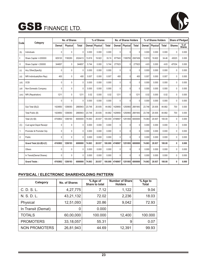

|       | Category                  | No. of Shares |              |              | % of Shares |                |              | No. of Shares Holders |              | % of Shares Holders |        |          | <b>Share of Pledged</b> |               |                         |
|-------|---------------------------|---------------|--------------|--------------|-------------|----------------|--------------|-----------------------|--------------|---------------------|--------|----------|-------------------------|---------------|-------------------------|
| Code  |                           | Demat         | Physical     | <b>Total</b> |             | Demat Physical | <b>Total</b> | Demat                 | Physical     | Total               | Demat  | Physical | <b>Total</b>            | <b>Shares</b> | $%$ of<br><b>Shares</b> |
| (b)   | Individuals               | $\mathbf{0}$  | $\mathbf{0}$ | $\mathbf{0}$ | 0.000       | 0.000          | 0.000        | $\mathbf{0}$          | 0            | $\Omega$            | 0.000  | 0.000    | 0.000                   | $\mathbf{0}$  | 0.000                   |
| ı     | Share Capital <= 200000   | 829120        | 1195293      | 2024413      | 13.819      | 19.922         | 33.74        | 877643                | 1189793      | 2067436             | 13.819 | 19.922   | 34.46                   | 43023         | 0.000                   |
| Ш     | Share Capital > 200000    | 344657        | $\mathbf{0}$ | 344657       | 5.744       | 0.000          | 5.744        | 277623                | $\Omega$     | 277623              | 4.63   | 0.000    | 4.63                    | $-67034$      | 0.000                   |
| (c)   | Any Other(Specify)        | $\mathbf{0}$  | $\mathbf{0}$ | $\mathbf{0}$ | 0.000       | 0.000          | 0.000        | $\mathbf{0}$          | 0            | $\mathbf{0}$        | 0.000  | 0.000    | 0.000                   | 0             | 0.000                   |
| (c)   | NRI Individuals (Non Rep) | 400           | $\mathbf{0}$ | 400          | 0.007       | 0.000          | 0.007        | 400                   | 0            | 400                 | 0.007  | 0.000    | 0.007                   | $\Omega$      | 0.000                   |
| (cii) | OCB                       | 0             | $\mathbf 0$  | $\mathbf 0$  | 0.000       | 0.000          | 0.000        | $\mathbf{0}$          | 0            | $\mathbf 0$         | 0.000  | 0.000    | 0.000                   | $\mathbf{0}$  | 0.000                   |
| (ciii | Non-Domestic Company      | $\mathbf{0}$  | 0            | $\mathbf 0$  | 0.000       | 0.000          | 0.000        | $\mathbf{0}$          | $\Omega$     | $\mathbf{0}$        | 0.000  | 0.000    | 0.000                   | 0             | 0.000                   |
| (civ) | NRI (Repatriation)        | 1211          | $\mathbf{0}$ | 1211         | 0.02        | 0.000          | 0.02         | 1211                  | 0            | 1211                | 0.02   | 0.000    | 0.02                    | $\mathbf{0}$  | 0.000                   |
|       |                           | $\mathbf{0}$  | $\mathbf{0}$ | $\mathbf{0}$ | 0.000       | 0.000          | 0.000        | $\mathbf{0}$          | $\Omega$     | $\mathbf{0}$        | 0.000  | 0.000    | 0.000                   | $\mathbf{0}$  | 0.000                   |
|       | Sub Total (B)(2)          | 1424850       | 1256093      | 2680943      | 23.748      | 20.935         | 44.682       | 1429950               | 1250993      | 2681943             | 23.748 | 20.935   | 44.682                  | 700           | 0.000                   |
|       | Total Public (B)          | 1424850       | 1256093      | 2680943      | 23.748      | 20.935         | 44.682       | 1429950               | 1250993      | 2681943             | 23.748 | 20.935   | 44.682                  | 700           | 0.000                   |
|       | Total $(A)+(B)$           | 4743802       | 1256193      | 6000000      | 74.063      | 20.937         | 100.000      | 4748907               | 1251093      | 6000000             | 74.063 | 20.937   | 100.00                  | 0             | 0.000                   |
| (C)   | Cust agnst Depst Receipt  | $\mathbf{0}$  | $\mathbf{0}$ | $\mathbf{0}$ | 0.000       | 0.000          | 0.000        | $\mathbf{0}$          | $\Omega$     | $\mathbf{0}$        | 0.000  | 0.000    | 0.000                   | $\mathbf{0}$  | 0.000                   |
| 1.    | Promoter & Promoter Grp   | $\mathbf{0}$  | $\mathbf{0}$ | $\mathbf{0}$ | 0.000       | 0.000          | 0.000        | $\mathbf{0}$          | 0            | $\Omega$            | 0.000  | 0.000    | 0.000                   | $\mathbf{0}$  | 0.000                   |
| 2.    | Public                    | 0             | $\mathbf{0}$ | $\mathbf{0}$ | 0.000       | 0.000          | 0.000        | $\mathbf{0}$          | $\Omega$     | $\mathbf{0}$        | 0.000  | 0.000    | 0.000                   | 0             | 0.000                   |
|       | Grand Total (A)+(B)+(C)   | 4743802       | 1256193      | 6000000      | 74.063      | 20.937         | 100.000      | 4748907               | 1251093      | 6000000             | 74.063 | 20.937   | 100.00                  | 0             | 0.000                   |
|       | Others                    | $\mathbf{0}$  | $\mathbf{0}$ | $\mathbf{0}$ | 0.000       | 0.000          | 0.000        | $\mathbf{0}$          | $\mathbf{0}$ | $\mathbf{0}$        | 0.000  | 0.000    | 0.000                   | $\mathbf{0}$  | 0.000                   |
|       | In Transit(Demat Shares)  | $\mathbf{0}$  | $\mathbf 0$  | $\mathbf{0}$ | 0.000       | 0.000          | 0.000        | $\mathbf{0}$          | $\Omega$     | $\mathbf{0}$        | 0.000  | 0.000    | 0.000                   | $\mathbf{0}$  | 0.000                   |
|       | <b>Grand Totals:</b>      | 4743802       | 1256193      | 6000000      | 74.063      | 20.937         | 100.000      | 4748907               | 1251093      | 6000000             | 74.063 | 20.937   | 100.00                  | 0             | 0.000                   |

# **PHYSICAL / ELECTRONIC SHAREHOLDING PATTERN**

| Category             | No. of Shares | % Age of<br>Share to total | Number of Share<br><b>Holders</b> | % Age to<br>Total |
|----------------------|---------------|----------------------------|-----------------------------------|-------------------|
| C. D. S. L.          | 4,27,775      | 7.12                       | 1,122                             | 9.04              |
| N. S. D. L.          | 43,21,132     | 72.02                      | 2,236                             | 18.03             |
| Physical             | 12,51,093     | 20.86                      | 9,042                             | 72.93             |
| In Transit (Demat)   | 0             | 0.000                      |                                   |                   |
| <b>TOTALS</b>        | 60,00,000     | 100.000                    | 12,400                            | 100.000           |
| <b>PROMOTERS</b>     | 33,18,057     | 55.31                      | 9                                 | 0.07              |
| <b>NON PROMOTERS</b> | 26,81,943     | 44.69                      | 12,391                            | 99.93             |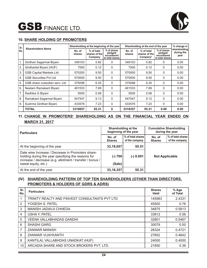

# **10. SHARE HOLDING OF PROMOTERS**

| Sr. |                                |                  | Shareholding at the beginning of the year |                                                          | Shareholding at the end of the year | % change in                             |                                                          |                                    |
|-----|--------------------------------|------------------|-------------------------------------------|----------------------------------------------------------|-------------------------------------|-----------------------------------------|----------------------------------------------------------|------------------------------------|
| No. | <b>Shareholders Name</b>       | No. of<br>shares | % of total<br>shares of the<br>Company    | % of shares<br>pledged/<br>encumbered<br>to total shares | No. of<br>shares                    | % of total<br>shares of the<br>Company* | % of shares<br>pledged/<br>encumbered<br>to total shares | shareholding<br>during the<br>year |
|     | Girdhari Sagarmal Biyani       | 349103           | 5.82                                      | 0                                                        | 349103                              | 5.82                                    | 0                                                        | 0.00                               |
| 2.  | Girdharilal Biyani (HUF)       | 7000             | 0.12                                      | 0                                                        | 7000                                | 0.12                                    | 0                                                        | 0.00                               |
| 3.  | GSB Capital Markets Ltd.       | 570200           | 9.50                                      | 0                                                        | 570000                              | 9.50                                    | 0                                                        | 0.00                               |
| 4.  | <b>GSB Securities Pvt Ltd</b>  | 570000           | 9.50                                      | 0                                                        | 570000                              | 9.50                                    | 0                                                        | 0.00                               |
| 5.  | GSB share custodian serv. Ltd. | 375098           | 6.25                                      | 0                                                        | 375098                              | 6.25                                    | 0                                                        | 0.00                               |
| 6.  | Neelam Ramakant Biyani         | 461533           | 7.69                                      | 0                                                        | 461533                              | 7.69                                    | 0                                                        | 0.00                               |
| 7.  | Radhika G Biyani               | 5000             | 0.08                                      | $\Omega$                                                 | 5000                                | 0.08                                    | 0                                                        | 0.00                               |
| 8.  | Ramakant Sagarmal Biyani       | 547547           | 9.13                                      | $\Omega$                                                 | 547047                              | 9.12                                    | $\Omega$                                                 | 0.00                               |
| 9.  | Sushma Girdhari Biyani         | 433576           | 7.23                                      | $\Omega$                                                 | 433576                              | 7.23                                    | $\mathbf{0}$                                             | 0.00                               |
|     | <b>TOTAL</b>                   | 3319057          | 55.31                                     | 0                                                        | 3318357                             | 55.31                                   | 0.00                                                     | 0.00                               |

# **11. CHANGE IN PROMOTERS' SHAREHOLDING AS ON THE FINANCIAL YEAR ENDED ON MARCH 31, 2017**

| <b>Particulars</b>                                                                                                                                                  |                         | Shareholding at the<br>beginning of the year | <b>Cumulative Shareholding</b><br>during the year |                                     |  |
|---------------------------------------------------------------------------------------------------------------------------------------------------------------------|-------------------------|----------------------------------------------|---------------------------------------------------|-------------------------------------|--|
|                                                                                                                                                                     | No. of<br><b>Shares</b> | % of total shares<br>of the company          | No. of<br><b>Shares</b>                           | % of total shares<br>of the company |  |
| At the beginning of the year                                                                                                                                        | 33,19,057               | 55.51                                        |                                                   |                                     |  |
| Date wise Increase / Decrease in Promoters share-<br>holding during the year specifying the reasons for<br>increase / decrease (e.g. allotment / transfer / bonus / | $(-) 700$               | $(-)$ 0.001                                  | <b>Not Applicable</b>                             |                                     |  |
| sweat equity, etc.)                                                                                                                                                 | (Sale)                  |                                              |                                                   |                                     |  |
| At the end of the year                                                                                                                                              | 33, 18, 357             | 55.31                                        |                                                   |                                     |  |

# **(IV) SHAREHOLDING PATTERN OF TOP TEN SHAREHOLDERS (OTHER THAN DIRECTORS, PROMOTERS & HOLDERS OF GDRS & ADRS)**

| Sr.<br>No. | <b>Particulars</b>                             | <b>Shares</b><br><b>Held</b> | % Age<br>of Total |
|------------|------------------------------------------------|------------------------------|-------------------|
|            | TRINITY REALTY AND FINVEST CONSULTANTS PVT LTD | 145983                       | 2.4331            |
| 2          | YOGESH S. PATEL                                | 45500                        | 0.76              |
| 3          | MANISH JADAVJI CHHEDA                          | 34875                        | 0.5813            |
| 4          | USHA Y. PATEL                                  | 33812                        | 0.56              |
| 5          | <b>VEENA VALLABHADAS GANDHI</b>                | 32801                        | 0.5467            |
| 6          | <b>SHASHI GARG</b>                             | 30079                        | 0.50              |
| 7          | <b>ZANWAR MANISH</b>                           | 28324                        | 0.4721            |
| 8          | <b>ZANWAR VIJAYKANTH</b>                       | 27852                        | 0.4642            |
| 9          | KANTILAL VALLABHDAS UNADKAT (HUF)              | 24000                        | 0.4000            |
| 10         | ARCADIA SHARE AND STOCK BROKERS PVT. LTD.      | 21850                        | 0.36              |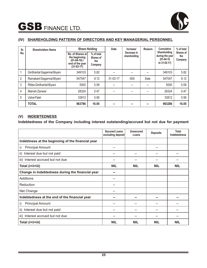

# **(IV) SHAREHOLDING PATTERN OF DIRECTORS AND KEY MANAGERIAL PERSONNEL**

| Sr.            | <b>Shareholders Name</b>    | <b>Share Holding</b>                                                                 |                                           | Date           | Increase/                   | Reason | <b>Cumulative</b>                                                      | % of total                         |
|----------------|-----------------------------|--------------------------------------------------------------------------------------|-------------------------------------------|----------------|-----------------------------|--------|------------------------------------------------------------------------|------------------------------------|
| No.            |                             | No. of Shares at<br>the beginning<br>$(01-04-16)$<br>end of the year<br>$(31-03-17)$ | % of total<br>Shares of<br>the<br>Company |                | Decrease in<br>shareholding |        | <b>Shareholding</b><br>during the year<br>$(01-04-16)$<br>to 31-03-17) | <b>Shares of</b><br>the<br>Company |
| 1              | Girdharilal Sagarmal Biyani | 349103                                                                               | 5.82                                      |                |                             | --     | 349103                                                                 | 5.82                               |
| $\overline{2}$ | Ramakant Sagarmal Biyani    | 547547                                                                               | 9.12                                      | $31 - 03 - 17$ | $-500$                      | Sale   | 547047                                                                 | 9.12                               |
| 3              | Ritika Girdharilal Biyani   | 5000                                                                                 | 0.08                                      |                |                             |        | 5000                                                                   | 0.08                               |
| 4              | Manish Zanwar               | 28324                                                                                | 0.47                                      |                | --                          | --     | 28324                                                                  | 0.47                               |
| 5              | Usha Patel                  | 33812                                                                                | 0.56                                      |                |                             |        | 33812                                                                  | 0.56                               |
|                | <b>TOTAL</b>                | 963786                                                                               | 16.05                                     |                | --                          | --     | 963286                                                                 | 16.05                              |

# **(V) INDEBTEDNESS**

**Indebtedness of the Company including interest outstanding/accrued but not due for payment**

|                                                   | <b>Secured Loans</b><br>excluding deposit | <b>Unsecured</b><br>Loans | <b>Deposits</b> | <b>Total</b><br><b>Indebtedness</b> |
|---------------------------------------------------|-------------------------------------------|---------------------------|-----------------|-------------------------------------|
| Indebtness at the beginning of the financial year |                                           |                           |                 |                                     |
| i)<br><b>Principal Amount</b>                     | --                                        |                           | --              |                                     |
| Interest due but not paid<br>ii)                  | --                                        |                           | --              |                                     |
| iii) Interest accrued but not due                 | --                                        |                           |                 |                                     |
| Total (i+ii+iii)                                  | <b>NIL</b>                                | <b>NIL</b>                | <b>NIL</b>      | <b>NIL</b>                          |
| Change in Indebtedness during the financial year  | --                                        |                           |                 |                                     |
| Additions                                         | --                                        |                           |                 |                                     |
| Reduction                                         | --                                        |                           |                 |                                     |
| Net Change                                        | --                                        |                           |                 |                                     |
| Indebtedness at the end of the financial year     | --                                        | - -                       |                 |                                     |
| <b>Principal Amount</b><br>i)                     | --                                        |                           |                 |                                     |
| Interest due but not paid<br>ii)                  |                                           |                           |                 |                                     |
| Interest accrued but not due<br>iii)              | --                                        | --                        | --              |                                     |
| Total (i+ii+iii)                                  | <b>NIL</b>                                | <b>NIL</b>                | <b>NIL</b>      | <b>NIL</b>                          |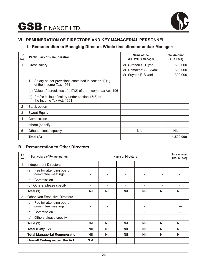

# **VI. REMUNERATION OF DIRECTORS AND KEY MANAGERIAL PERSONNEL**

# **1. Remuneration to Managing Director, Whole time director and/or Manager:**

| Sr.<br>No. | <b>Particulars of Remuneration</b>                                                    | Name of the<br>MD / WTD / Manager | <b>Total Amount</b><br>(Rs. in Lacs) |  |
|------------|---------------------------------------------------------------------------------------|-----------------------------------|--------------------------------------|--|
| 1          | Gross salary                                                                          | Mr. Girdhari S. Biyani            | 600,000                              |  |
|            |                                                                                       | Mr. Ramakant S. Biyani            | 600,000                              |  |
|            |                                                                                       | Mr. Suyash R Biyani               | 300,000                              |  |
|            | Salary as per provisions contained in section 17(1)<br>1.<br>of the Income Tax, 1961. |                                   |                                      |  |
|            | (b) Value of perquisites u/s 17(2) of the Income tax Act, 1961                        |                                   |                                      |  |
|            | (c) Profits in lieu of salary under section 17(3) of<br>the Income Tax Act, 1961      |                                   |                                      |  |
| 2          | Stock option                                                                          |                                   |                                      |  |
| 3          | <b>Sweat Equity</b>                                                                   |                                   |                                      |  |
| 4          | Commission                                                                            |                                   |                                      |  |
|            | others (specify)                                                                      |                                   |                                      |  |
| 5          | Others, please specify                                                                | <b>NIL</b>                        | <b>NIL</b>                           |  |
|            | Total (A)                                                                             |                                   | 1,500,000                            |  |

# **B. Remuneration to Other Directors :**

| Sr.<br>No.     | <b>Particulars of Remuneration</b>                   |            |                              | <b>Name of Directors</b> |            |            | <b>Total Amount</b><br>(Rs. in Lacs) |
|----------------|------------------------------------------------------|------------|------------------------------|--------------------------|------------|------------|--------------------------------------|
|                | <b>Independent Directors</b>                         |            |                              |                          |            |            |                                      |
|                | Fee for attending board<br>(a)<br>committee meetings |            | $\qquad \qquad \blacksquare$ | -                        | -          | -          | -                                    |
|                | Commission<br>(b)                                    |            | ۳                            |                          |            |            |                                      |
|                | (c) Others, please specify                           |            |                              |                          |            |            |                                      |
|                | Total (1)                                            | <b>Nil</b> | <b>Nil</b>                   | <b>Nil</b>               | <b>Nil</b> | <b>Nil</b> | <b>Nil</b>                           |
| $\overline{2}$ | <b>Other Non Executive Directors</b>                 |            |                              |                          |            |            |                                      |
|                | Fee for attending board<br>(a)<br>committee meetings |            | $\qquad \qquad \blacksquare$ |                          | -          |            |                                      |
|                | Commission<br>(b)                                    |            |                              |                          |            |            |                                      |
|                | Others please specify.<br>(c)                        |            |                              |                          |            |            |                                      |
|                | Total (2)                                            | <b>Nil</b> | <b>Nil</b>                   | <b>Nil</b>               | <b>Nil</b> | <b>Nil</b> | <b>Nil</b>                           |
|                | Total $(B)=(1+2)$                                    | <b>Nil</b> | <b>Nil</b>                   | <b>Nil</b>               | <b>Nil</b> | <b>Nil</b> | <b>Nil</b>                           |
|                | <b>Total Managerial Remuneration</b>                 | <b>Nil</b> | <b>Nil</b>                   | <b>Nil</b>               | <b>Nil</b> | <b>Nil</b> | <b>Nil</b>                           |
|                | Overall Ceiling as per the Act.                      | N.A        |                              |                          |            |            |                                      |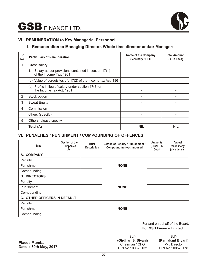

# **VI. REMUNERATION to Key Managerial Personnel**

# **1. Remuneration to Managing Director, Whole time director and/or Manager:**

| Sr.<br>No. | <b>Particulars of Remuneration</b>                                                    | <b>Name of the Company</b><br>Secretary / CFO | <b>Total Amount</b><br>(Rs. in Lacs) |
|------------|---------------------------------------------------------------------------------------|-----------------------------------------------|--------------------------------------|
|            | Gross salary                                                                          |                                               |                                      |
|            | Salary as per provisions contained in section 17(1)<br>1.<br>of the Income Tax, 1961. |                                               |                                      |
|            | (b) Value of perquisites u/s 17(2) of the Income tax Act, 1961                        |                                               |                                      |
|            | (c) Profits in lieu of salary under section 17(3) of<br>the Income Tax Act, 1961      |                                               |                                      |
| 2          | Stock option                                                                          |                                               |                                      |
| 3          | <b>Sweat Equity</b>                                                                   |                                               |                                      |
| 4          | Commission                                                                            |                                               |                                      |
|            | others (specify)                                                                      |                                               |                                      |
| 5          | Others, please specify                                                                |                                               |                                      |
|            | Total (A)                                                                             | NIL                                           | <b>NIL</b>                           |

# **VI. PENALTIES / PUNISHMENT / COMPOUNDING OF OFFENCES**

| <b>Type</b>                         | Section of the<br><b>Companies</b><br>Act | <b>Brief</b><br><b>Description</b> | Details of Penalty / Punishment /<br><b>Compounding fees imposed</b> | <b>Authority</b><br>(RD/NCLT/<br>Court | Appeal<br>made if any<br>(give details) |
|-------------------------------------|-------------------------------------------|------------------------------------|----------------------------------------------------------------------|----------------------------------------|-----------------------------------------|
| A. COMPANY                          |                                           |                                    |                                                                      |                                        |                                         |
| Penalty                             |                                           |                                    |                                                                      |                                        |                                         |
| Punishment                          |                                           |                                    | <b>NONE</b>                                                          |                                        |                                         |
| Compounding                         |                                           |                                    |                                                                      |                                        |                                         |
| <b>B. DIRECTORS</b>                 |                                           |                                    |                                                                      |                                        |                                         |
| Penalty                             |                                           |                                    |                                                                      |                                        |                                         |
| Punishment                          |                                           |                                    | <b>NONE</b>                                                          |                                        |                                         |
| Compounding                         |                                           |                                    |                                                                      |                                        |                                         |
| <b>C. OTHER OFFICERS IN DEFAULT</b> |                                           |                                    |                                                                      |                                        |                                         |
| Penalty                             |                                           |                                    |                                                                      |                                        |                                         |
| Punishment                          |                                           |                                    | <b>NONE</b>                                                          |                                        |                                         |
| Compounding                         |                                           |                                    |                                                                      |                                        |                                         |

**For GSB Finance Limited** For and on behalf of the Board,

| $Sd/-$               | Sd                |
|----------------------|-------------------|
| (Girdhari S. Biyani) | (Ramakant Biyani) |
| Chairman / CFO       | Mg. Director      |
| DIN No.: 00523132    | DIN No.: 00523178 |
|                      |                   |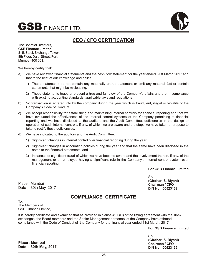



# **CEO / CFO CERTIFICATION**

The Board of Directors, **GSB Finance Limited,** 815, Stock Exchange Tower, 8th Floor, Dalal Street, Fort, Mumbai-400 001.

We hereby certify that:

- a) We have reviewed financial statements and the cash flow statement for the year ended 31st March 2017 and that to the best of our knowledge and belief;
	- 1) These statements do not contain any materially untrue statement or omit any material fact or contain statements that might be misleading.
	- 2) These statements together present a true and fair view of the Company's affairs and are in compliance with existing accounting standards, applicable laws and regulations.
- b) No transaction is entered into by the company during the year which is fraudulent, illegal or violatile of the Company's Code of Conduct.
- c) We accept responsibility for establishing and maintaining internal controls for financial reporting and that we have evaluated the effectiveness of the internal control systems of the Company pertaining to financial reporting and we have disclosed to the auditors and the Audit Committee, deficiencies in the design or operation of such internal controls, if any, of which we are aware and the steps we have taken or propose to take to rectify these deficiencies.
- d) We have indicated to the auditors and the Audit Committee:
	- 1) Significant changes in internal control over financial reporting during the year.
	- 2) Significant changes in accounting policies during the year and that the same have been disclosed in the notes to the financial statements; and
	- 3) Instances of significant fraud of which we have become aware and the involvement therein, if any, of the management or an employee having a significant role in the Company's internal control system over financial reporting.

**For GSB Finance Limited**

Place : Mumbai Date : 30th May, 2017

# **COMPLIANCE CERTIFICATE**

To, The Members of GSB Finance Limited,

It is hereby certificate and examined that as provided in clause 49 I (D) of the listing agreement with the stock exchanges, the Board members and the Senior Management personnel of the Company have affirmed compliance with the Code of Conduct of the Company for the financial year ended 31st March, 2017.

**For GSB Finance Limited**

**Place : Mumbai Date : 30th May, 2017** Sd/- **(Girdhari S. Biyani) Chairman / CFO DIN No.: 00523132**

Sd/- **(Girdhari S. Biyani) Chairman / CFO DIN No.: 00523132**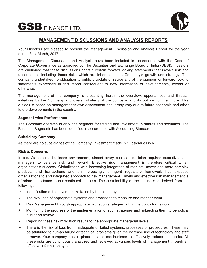

# **MANAGEMENT DISCUSSIONS AND ANALYSIS REPORTS**

Your Directors are pleased to present the Management Discussion and Analysis Report for the year ended 31st March, 2017.

The Management Discussion and Analysis have been included in consonance with the Code of Corporate Governance as approved by The Securities and Exchange Board of India (SEBI). Investors are cautioned that these discussions contain certain forward looking statements that involve risk and uncertainties including those risks which are inherent in the Company's growth and strategy. The company undertakes no obligation to publicly update or revise any of the opinions or forward looking statements expressed in this report consequent to new information or developments, events or otherwise.

The management of the company is presenting herein the overview, opportunities and threats, initiatives by the Company and overall strategy of the company and its outlook for the future. This outlook is based on management's own assessment and it may vary due to future economic and other future developments in the country.

# **Segment-wise Performance**

The Company operates in only one segment for trading and investment in shares and securities. The Business Segments has been identified in accordance with Accounting Standard.

# **Subsidiary Company**

As there are no subsidiaries of the Company, Investment made in Subsidiaries is NIL.

# **Risk & Concerns**

In today's complex business environment, almost every business decision requires executives and managers to balance risk and reward. Effective risk management is therefore critical to an organization's success. Globalization with increasing integration of markets, newer and more complex products and transactions and an increasingly stringent regulatory framework has exposed organizations to and integrated approach to risk management. Timely and effective risk management is of prime importance to our continued success. The sustainability of the business is derived from the following:

- $\triangleright$  Identification of the diverse risks faced by the company.
- $\triangleright$  The evolution of appropriate systems and processes to measure and monitor them.
- $\triangleright$  Risk Management through appropriate mitigation strategies within the policy framework.
- Ø Monitoring the progress of the implementation of such strategies and subjecting them to periodical audit and review.
- $\triangleright$  Reporting these risk mitigation results to the appropriate managerial levels.
- Ø There is the risk of loss from inadequate or failed systems, processes or procedures. These may be attributed to human failure or technical problems given the increase use of technology and staff turnover. Your company has in place suitable mechanisms to effectively reduce such risks. All these risks are continuously analyzed and reviewed at various levels of management through an effective information system.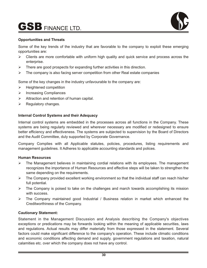

# **Opportunities and Threats**

Some of the key trends of the industry that are favorable to the company to exploit these emerging opportunities are:

- $\triangleright$  Clients are more comfortable with uniform high quality and quick service and process across the enterprise.
- $\triangleright$  There are good prospects for expanding further activities in this direction.
- $\triangleright$  The company is also facing server competition from other Real estate companies

Some of the key changes in the industry unfavourable to the company are:

- $\triangleright$  Heightened competition
- > Increasing Compliances
- $\triangleright$  Attraction and retention of human capital.
- $\triangleright$  Regulatory changes.

# **Internal Control Systems and their Adequacy**

Internal control systems are embedded in the processes across all functions in the Company. These systems are being regularly reviewed and wherever necessary are modified or redesigned to ensure better efficiency and effectiveness. The systems are subjected to supervision by the Board of Directors and the Audit Committee, duly supported by Corporate Governance.

Company Complies with all Applicable statutes, policies, procedures, listing requirements and management guidelines. It Adheres to applicable accounting standards and polices.

# **Human Resources**

- $\triangleright$  The Management believes in maintaining cordial relations with its employees. The management recognizes the importance of Human Resources and effective steps will be taken to strengthen the same depending on the requirements.
- Ø The Company provided excellent working environment so that the individual staff can reach his/her full potential.
- $\triangleright$  The Company is poised to take on the challenges and march towards accomplishing its mission with success.
- Ø The Company maintained good Industrial / Business relation in market which enhanced the Creditworthiness of the Company.

# **Cautionary Statement:**

Statement in the Management Discussion and Analysis describing the Company's objectives exceptions or predications may be forwards looking within the meaning of applicable securities, laws and regulations. Actual results may differ materially from those expressed in the statement. Several factors could make significant difference to the company's operation. These include climatic conditions and economic conditions affecting demand and supply, government regulations and taxation, natural calamities etc. over which the company does not have any control.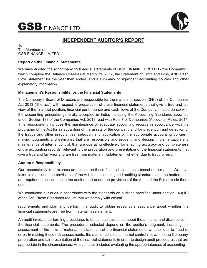

# **INDEPENDENT AUDITOR'S REPORT**

To The Members of GSB FINANCE LIMITED

# **Report on the Financial Statements**

We have audited the accompanying financial statements of **GSB FINANCE LIMITED** ("the Company"), which comprise the Balance Sheet as at March 31, 2017, the Statement of Profit and Loss, AND Cash Flow Statement for the year then ended, and a summary of significant accounting policies and other explanatory information.

# **Management's Responsibility for the Financial Statements**

The Company's Board of Directors are responsible for the matters in section 134(5) of the Companies Act 2013 ("the act") with respect to preparation of these financial statements that give a true and fair view of the financial position, financial performance and cash flows of the Company in accordance with the accounting principles generally accepted in India, including the Accounting Standards specified under Section 133 of the Companies Act, 2013 read with Rule 7 of Companies (Accounts) Rules, 2014. This responsibility includes the maintenance of adequate accounting records in accordance with the provisions of the Act for safeguarding of the assets of the company and for prevention and detection of the frauds and other irregularities; selection and application of the appropriate accounting policies ; making judgments and estimates that are responsible and prudent; and design, implementation and maintenance of internal control, that are operating effectively for ensuring accuracy and completeness of the accounting records, relevant to the preparation and presentation of the financial statements that give a true and fair view and are free from material misstatement, whether due to fraud or error.

# **Auditor's Responsibility**

Our responsibility is to express an opinion on these financial statements based on our audit. We have taken into account the provisions of the Act, the accounting and auditing standards and the matters that are required to be included in the audit report under the provisions of the Act and the Rules made there under.

We conducted our audit in accordance with the standards on auditing specified under section 143(10) of the Act. Those Standards require that we comply with ethical

requirements and plan and perform the audit to obtain reasonable assurance about whether the financial statements are free from material misstatement.

An audit involves performing procedures to obtain audit evidence about the amounts and disclosures in the financial statements. The procedures selected depend on the auditor's judgment, including the assessment of the risks of material misstatement of the financial statements, whether due to fraud or error. In making those risk assessments, the auditor considers internal control relevant to the Company' preparation and fair presentation of the financial statements in order to design audit procedures that are appropriate in the circumstances. An audit also includes evaluating the appropriateness of accounting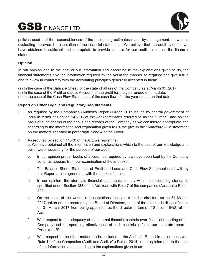

policies used and the reasonableness of the accounting estimates made by management, as well as evaluating the overall presentation of the financial statements. We believe that the audit evidence we have obtained is sufficient and appropriate to provide a basis for our audit opinion on the financial statements.

# **Opinion**

In our opinion and to the best of our information and according to the explanations given to us, the financial statements give the information required by the Act in the manner so required and give a true and fair view in conformity with the accounting principles generally accepted in India:

(a) In the case of the Balance Sheet, of the state of affairs of the Company as at March 31, 2017;

(b) In the case of the Profit and Loss Account, of the profit for the year ended on that date.

(c) In the case of the Cash Flow Statement, of the cash flows for the year ended on that date.

# **Report on Other Legal and Regulatory Requirements**

- I. As required by the Companies (Auditor's Report) Order, 2017 issued by central government of India in terms of Section 143(11) of the Act (hereinafter referred to as the "Order") and on the basis of such checks of the books and records of the Company as we considered appropriate and according to the information and explanation given to us, we give in the "Annexure A" a statement on the matters specified in paragraph 3 and 4 of the Order.
- II. As required by section 143(3) of the Act, we report that:

a. We have obtained all the information and explanations which to the best of our knowledge and belief were necessary for the purpose of our audit;

- b. In our opinion proper books of account as required by law have been kept by the Company so far as appears from our examination of those books;
- c. The Balance Sheet, Statement of Profit and Loss, and Cash Flow Statement dealt with by this Report are in agreement with the books of account;
- d. In our opinion, the aforesaid financial statements comply with the accounting standards specified under Section 133 of the Act, read with Rule 7 of the companies (Accounts) Rules, 2014.
- e. On the basis of the written representations received from the directors as on 31 March, 2017, taken on the records by the Board of Directors, none of the director is disqualified as on 31 March, 2017 from being appointed as the director in terms of Section 164(2) of the Act.
- f. With respect to the adequacy of the internal financial controls over financial reporting of the Company and the operating effectiveness of such controls, refer to our separate report in "Annexure B"
- g. With respect to the other matters to be included in the Auditor's Report in accordance with Rule 11 of the Companies (Audit and Auditor's) Rules, 2014, in our opinion and to the best of our information and according to the explanations given to us: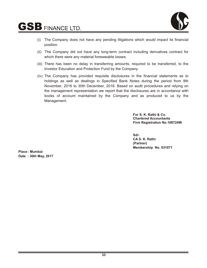

- (i) The Company does not have any pending litigations which would impact its financial position.
- (ii) The Company did not have any long-term contract including derivatives contract for which there were any material foreseeable losses.
- (iii) There has been no delay in transferring amounts, required to be transferred, to the Investor Education and Protection Fund by the Company.
- (iv) The Company has provided requisite disclosures in the financial statements as to holdings as well as dealings in Specified Bank Notes during the period from 8th November, 2016 to 30th December, 2016. Based on audit procedures and relying on the management representation we report that the disclosures are in accordance with books of account maintained by the Company and as produced to us by the Management.

**For S. K. Rathi & Co. Chartered Accountants Firm Registration No.108724W**

**Sd/- CA S. K. Rathi (Partner) Membership No. 031071**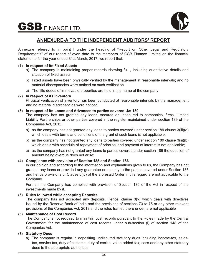

# **ANNEXURE-A TO THE INDEPENDENT AUDITORS' REPORT**

Annexure referred to in point I under the heading of "Report on Other Legal and Regulatory Requirements" of our report of even date to the members of GSB Finance Limited on the financial statements for the year ended 31st March, 2017, we report that:

# **(1) In respect of its Fixed Assets**

- a) The company is maintaining proper records showing full , including quantitative details and situation of fixed assets;
- b) Fixed assets have been physically verified by the management at reasonable intervals; and no material discrepancies were noticed on such verification
- c) The title deeds of immovable properties are held in the name of the company

# **(2) In respect of its Inventory**

Physical verification of inventory has been conducted at reasonable intervals by the management and no material discrepancies were noticed

# **(3) In respect of its Loans and Advances to parties covered U/s 189**

The company has not granted any loans, secured or unsecured to companies, firms, Limited Liability Partnerships or other parties covered in the register maintained under section 189 of the Companies Act, 2013.

- a) as the company has not granted any loans to parties covered under section 189 clause 3(iii)(a) which deals with terms and conditions of the grant of such loans is not applicable;
- b) as the company has not granted any loans to parties covered under section 189 clause 3(iii)(b) which deals with schedule of repayment of principal and payment of interest is not applicable;
- c) as the company has not granted any loans to parties covered under section 189 the question of amount being overdue does not arise;

# **(4) Compliance with provision of Section 185 and Section 186**

In our opinion and according to the information and explanations given to us, the Company has not granted any loans or provided any guarantee or security to the parties covered under Section 185 and hence provisions of Clause 3(iv) of the aforesaid Order in this regard are not applicable to the Company.

Further, the Company has complied with provision of Section 186 of the Act in respect of the investments made by it.

# **(5) Rules followed while accepting Deposits**

The company has not accepted any deposits. Hence, clause 3(v) which deals with directives issued by the Reserve Bank of India and the provisions of sections 73 to 76 or any other relevant provisions of the Companies Act, 2013 and the rules framed there under, are not applicable

# **(6) Maintenance of Cost Record**

The Company is not required to maintain cost records pursuant to the Rules made by the Central Government for the maintenance of cost records under sub-section (l) of section 148 of the Companies Act.

# **(7) Statutory Dues**

a) The company is regular in depositing undisputed statutory dues including income-tax, salestax, service tax, duty of customs, duty of excise, value added tax, cess and any other statutory dues to the appropriate authorities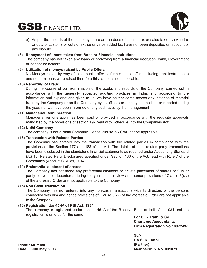

b) As per the records of the company, there are no dues of income tax or sales tax or service tax or duty of customs or duty of excise or value added tax have not been deposited on account of any dispute

# **(8) Repayment of Loans taken from Bank or Financial Institutions**

The company has not taken any loans or borrowing from a financial institution, bank, Government or debenture holders

# **(9) Utilization of moneys raised by Public Offers**

No Moneys raised by way of initial public offer or further public offer (including debt instruments) and no term loans were raised therefore this clause is not applicable.

# **(10) Reporting of Fraud**

During the course of our examination of the books and records of the Company, carried out in accordance with the generally accepted auditing practices in India, and according to the information and explanations given to us, we have neither come across any instance of material fraud by the Company or on the Company by its officers or employees, noticed or reported during the year, nor we have been informed of any such case by the management

# **(11) Managerial Remuneration**

Managerial remuneration has been paid or provided in accordance with the requisite approvals mandated by the provisions of section 197 read with Schedule V to the Companies Act;

# **(12) Nidhi Company**

The company is not a Nidhi Company. Hence, clause 3(xii) will not be applicable

# **(13) Transaction with Related Parties**

The Company has entered into the transaction with the related parties in compliance with the provisions of the Section 177 and 188 of the Act. The details of such related party transactions have been disclosed in the standalone financial statements as required under Accounting Standard (AS)18, Related Party Disclosures specified under Section 133 of the Act, read with Rule 7 of the Companies (Accounts) Rules, 2014.

# **(14) Preferential allotment of shares**

The Company has not made any preferential allotment or private placement of shares or fully or partly convertible debentures during the year under review and hence provisions of Clause 3(xiv) of the aforesaid Order are not applicable to the Company.

# **(15) Non Cash Transaction**

The Company has not entered into any non-cash transactions with its directors or the persons connected with him and hence provisions of Clause 3(xv) of the aforesaid Order are not applicable to the Company.

# **(16) Registration U/s 45-IA of RBI Act, 1934**

The company is registered under section 45-IA of the Reserve Bank of India Act, 1934 and the registration is enforce for the same.

**For S. K. Rathi & Co. Chartered Accountants Firm Registration No.108724W**

**Sd/- CA S. K. Rathi (Partner) Membership No. 031071**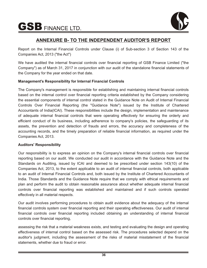

# **ANNEXURE B- TO THE INDEPENDENT AUDITOR'S REPORT**

Report on the Internal Financial Controls under Clause (i) of Sub-section 3 of Section 143 of the Companies Act, 2013 ("the Act")

We have audited the internal financial controls over financial reporting of GSB Finance Limited ("the Company") as of March 31, 2017 in conjunction with our audit of the standalone financial statements of the Company for the year ended on that date.

# **Management's Responsibility for Internal Financial Controls**

The Company's management is responsible for establishing and maintaining internal financial controls based on the internal control over financial reporting criteria established by the Company considering the essential components of internal control stated in the Guidance Note on Audit of Internal Financial Controls Over Financial Reporting (the "Guidance Note") issued by the Institute of Chartered Accountants of India(ICAI). These responsibilities include the design, implementation and maintenance of adequate internal financial controls that were operating effectively for ensuring the orderly and efficient conduct of its business, including adherence to company's policies, the safeguarding of its assets, the prevention and detection of frauds and errors, the accuracy and completeness of the accounting records, and the timely preparation of reliable financial information, as required under the Companies Act, 2013.

# **Auditors' Responsibility**

Our responsibility is to express an opinion on the Company's internal financial controls over financial reporting based on our audit. We conducted our audit in accordance with the Guidance Note and the Standards on Auditing, issued by ICAI and deemed to be prescribed under section 143(10) of the Companies Act, 2013, to the extent applicable to an audit of internal financial controls, both applicable to an audit of Internal Financial Controls and, both issued by the Institute of Chartered Accountants of India. Those Standards and the Guidance Note require that we comply with ethical requirements and plan and perform the audit to obtain reasonable assurance about whether adequate internal financial controls over financial reporting was established and maintained and if such controls operated effectively in all material respects.

Our audit involves performing procedures to obtain audit evidence about the adequacy of the internal financial controls system over financial reporting and their operating effectiveness. Our audit of internal financial controls over financial reporting included obtaining an understanding of internal financial controls over financial reporting,

assessing the risk that a material weakness exists, and testing and evaluating the design and operating effectiveness of internal control based on the assessed risk. The procedures selected depend on the auditor's judgment, including the assessment of the risks of material misstatement of the financial statements, whether due to fraud or error.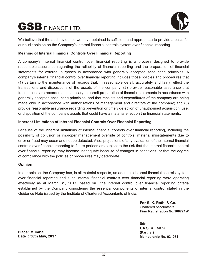

We believe that the audit evidence we have obtained is sufficient and appropriate to provide a basis for our audit opinion on the Company's internal financial controls system over financial reporting.

# **Meaning of Internal Financial Controls Over Financial Reporting**

A company's internal financial control over financial reporting is a process designed to provide reasonable assurance regarding the reliability of financial reporting and the preparation of financial statements for external purposes in accordance with generally accepted accounting principles. A company's internal financial control over financial reporting includes those policies and procedures that (1) pertain to the maintenance of records that, in reasonable detail, accurately and fairly reflect the transactions and dispositions of the assets of the company; (2) provide reasonable assurance that transactions are recorded as necessary to permit preparation of financial statements in accordance with generally accepted accounting principles, and that receipts and expenditures of the company are being made only in accordance with authorisations of management and directors of the company; and (3) provide reasonable assurance regarding prevention or timely detection of unauthorised acquisition, use, or disposition of the company's assets that could have a material effect on the financial statements.

# **Inherent Limitations of Internal Financial Controls Over Financial Reporting**

Because of the inherent limitations of internal financial controls over financial reporting, including the possibility of collusion or improper management override of controls, material misstatements due to error or fraud may occur and not be detected. Also, projections of any evaluation of the internal financial controls over financial reporting to future periods are subject to the risk that the internal financial control over financial reporting may become inadequate because of changes in conditions, or that the degree of compliance with the policies or procedures may deteriorate.

# **Opinion**

In our opinion, the Company has, in all material respects, an adequate internal financial controls system over financial reporting and such internal financial controls over financial reporting were operating effectively as at March 31, 2017, based on the internal control over financial reporting criteria established by the Company considering the essential components of internal control stated in the Guidance Note issued by the Institute of Chartered Accountants of India.

> **For S. K. Rathi & Co.** Chartered Accountants **Firm Registration No.108724W**

**Sd/- CA S. K. Rathi (Partner) Membership No. 031071**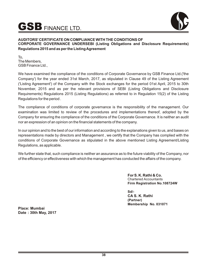

# **AUDITORS' CERTIFICATE ON COMPLIANCE WITH THE CONDITIONS OF CORPORATE GOVERNANCE UNDERSEBI (Listing Obligations and Disclosure Requirements) Regulations 2015 and as per the Listing Agreement**

To, The Members, GSB Finance Ltd.,

We have examined the compliance of the conditions of Corporate Governance by GSB Finance Ltd.('the Company') for the year ended 31st March, 2017, as stipulated in Clause 49 of the Listing Agreement ('Listing Agreement') of the Company with the Stock exchanges for the period 01st April, 2015 to 30th November, 2015 and as per the relevant provisions of SEBI (Listing Obligations and Disclosure Requirements) Regulations 2015 (Listing Regulations) as referred to in Regulation 15(2) of the Listing Regulations for the period .

The compliance of conditions of corporate governance is the responsibility of the management. Our examination was limited to review of the procedures and implementations thereof, adopted by the Company for ensuring the compliance of the conditions of the Corporate Governance. It is neither an audit nor an expression of an opinion on the financial statements of the company.

In our opinion and to the best of our information and according to the explanations given to us, and bases on representations made by directors and Management , we certify that the Company has complied with the conditions of Corporate Governance as stipulated in the above mentioned Listing Agreement/Listing Regulations, as applicable.

We further state that, such compliance is neither an assurance as to the future viability of the Company, nor of the efficiency or effectiveness with which the management has conducted the affairs of the company.

> **For S. K. Rathi & Co.** Chartered Accountants **Firm Registration No.108724W**

**Sd/- CA S. K. Rathi (Partner) Membership No. 031071**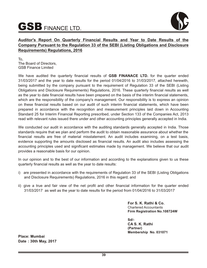

# **Auditor's Report On Quarterly Financial Results and Year to Date Results of the Company Pursuant to the Regulation 33 of the SEBI (Listing Obligations and Disclosure Requirements) Regulations, 2016**

To, The Board of Directors, GSB Finance Limited

We have audited the quarterly financial results of **GSB FINANACE LTD.** for the quarter ended 31/03/2017 and the year to date results for the period 01/04/2016 to 31/03/2017, attached herewith, being submitted by the company pursuant to the requirement of Regulation 33 of the SEBI (Listing Obligations and Disclosure Requirements) Regulations, 2016. These quarterly financial results as well as the year to date financial results have been prepared on the basis of the interim financial statements, which are the responsibility of the company's management. Our responsibility is to express an opinion on these financial results based on our audit of such interim financial statements, which have been prepared in accordance with the recognition and measurement principles laid down in Accounting Standard 25 for Interim Financial Reporting prescribed, under Section 133 of the Companies Act, 2013 read with relevant rules issued there under and other accounting principles generally accepted in India.

We conducted our audit in accordance with the auditing standards generally accepted in India. Those standards require that we plan and perform the audit to obtain reasonable assurance about whether the financial results are free of material misstatement. An audit includes examining, on a test basis, evidence supporting the amounts disclosed as financial results. An audit also includes assessing the accounting principles used and significant estimates made by management. We believe that our audit provides a reasonable basis for our opinion.

In our opinion and to the best of our information and according to the explanations given to us these quarterly financial results as well as the year to date results:

- i) are presented in accordance with the requirements of Regulation 33 of the SEBI (Listing Obligations and Disclosure Requirements) Regulations, 2016 in this regard; and
- ii) give a true and fair view of the net profit and other financial information for the quarter ended 31/03/2017 as well as the year to date results for the period from 01/04/2016 to 31/03/2017

**For S. K. Rathi & Co.** Chartered Accountants **Firm Registration No.108724W**

**Sd/- CA S. K. Rathi (Partner) Membership No. 031071**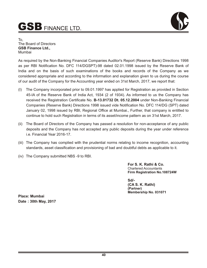

To, The Board of Directors **GSB Finance Ltd.,** Mumbai

As required by the Non-Banking Financial Companies Auditor's Report (Reserve Bank) Directions 1998 as per RBI Notification No. DFC 114/DGSPT)-98 dated 02.01.1998 issued by the Reserve Bank of India and on the basis of such examinations of the books and records of the Company as we considered appropriate and according to the information and explanation given to us during the course of our audit of the Company for the Accounting year ended on 31st March, 2017, we report that:

- (I) The Company incorporated prior to 09.01.1997 has applied for Registration as provided in Section 45-IA of the Reserve Bank of India Act, 1934 (2 of 1934). As informed to us the Company has received the Registration Certificate No. **B-13.01732 Dt. 05.12.2004** under Non-Banking Financial Companies (Reserve Bank) Directions 1998 issued vide Notification No. DFC 114/DG (SPT) dated January 02, 1998 issued by RBI, Regional Office at Mumbai., Further, that company is entitled to continue to hold such Registration in terms of its asset/income pattern as on 31st March, 2017.
- (ii) The Board of Directors of the Company has passed a resolution for non-acceptance of any public deposits and the Company has not accepted any public deposits during the year under reference i.e. Financial Year 2016-17.
- (iii) The Company has complied with the prudential norms relating to income recognition, accounting standards, asset classification and provisioning of bad and doubtful debts as applicable to it.
- (iv) The Company submitted NBS -9 to RBI.

**For S. K. Rathi & Co.** Chartered Accountants **Firm Registration No.108724W**

**Sd/- (CA S. K. Rathi) (Partner) Membership No. 031071**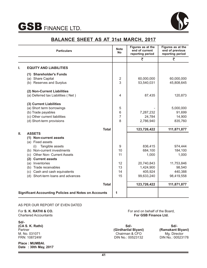

# **BALANCE SHEET AS AT 31st MARCH, 2017**

|    | <b>Particulars</b>                                                | <b>Note</b><br><b>No</b> | Figures as at the<br>end of current<br>reporting period | Figures as at the<br>end of previous<br>reporting period |
|----|-------------------------------------------------------------------|--------------------------|---------------------------------------------------------|----------------------------------------------------------|
|    |                                                                   |                          | ₹                                                       | ₹                                                        |
| ı. | <b>EQUITY AND LIABILITIES</b>                                     |                          |                                                         |                                                          |
|    | <b>Shareholder's Funds</b><br>(1)<br>(a) Share Capital            | $\overline{2}$           | 60,000,000                                              | 60,000,000                                               |
|    | (b) Reserves and Surplus                                          | 3                        | 53,540,031                                              | 45,808,645                                               |
|    | (2) Non-Current Liabilities<br>(a) Deferred tax Liabilities (Net) | 4                        | 87,435                                                  | 120,873                                                  |
|    |                                                                   |                          |                                                         |                                                          |
|    | (3) Current Liabilities<br>(a) Short term borrowings              | 5                        |                                                         | 5,000,000                                                |
|    | (b) Trade payables                                                | $\,6$                    | 7,287,232                                               | 91,699                                                   |
|    | (c) Other current liabilities                                     | $\overline{7}$           | 24,784                                                  | 14,900                                                   |
|    | (d) Short-term provisions                                         | 8                        | 2,786,940                                               | 835,760                                                  |
|    | <b>Total</b>                                                      |                          | 123,726,422                                             | 111,871,877                                              |
| Ш. | <b>ASSETS</b>                                                     |                          |                                                         |                                                          |
|    | (1) Non-current assets                                            |                          |                                                         |                                                          |
|    | (a) Fixed assets                                                  |                          |                                                         |                                                          |
|    | Tangible assets<br>(i)<br>(b) Non-current investments             | 9<br>10                  | 836,415<br>684,100                                      | 974,444<br>184,100                                       |
|    | <b>Other Non- Current Assets</b><br>(c)                           | 11                       | 1,000                                                   | 1,000                                                    |
|    | <b>Current assets</b><br>(2)                                      |                          |                                                         |                                                          |
|    | (a) Inventories                                                   | 12                       | 20,740,843                                              | 11,753,846                                               |
|    | (b) Trade receivables                                             | 13                       | 1,424,900                                               | 98,540                                                   |
|    | (c) Cash and cash equivalents                                     | 14                       | 405,924                                                 | 440,388                                                  |
|    | (d) Short-term loans and advances                                 | 15                       | 99,633,240                                              | 98,419,558                                               |
|    | <b>Total</b>                                                      |                          | 123,726,422                                             | 111,871,877                                              |
|    | <b>Significant Accounting Policies and Notes on Accounts</b>      | 1                        |                                                         |                                                          |

# AS PER OUR REPORT OF EVEN DATED

For **S. K. RATHI & CO.** Chartered Accountants

**Sd/- (CA S. K. Rathi) Partner** M. No. 031071 FRN: 108724W

**Place : MUMBAI. Date : 30th May, 2017** For and on behalf of the Board, **For GSB Finance Ltd.** 

**Sd/- (Girdharilal Biyani)**  Chairman & CFO DIN No.: 00523132

**Sd/- (Ramakant Biyani)**  Mg. Director DIN No.: 00523178

 $\sim$   $\sim$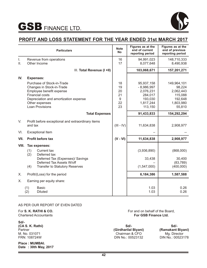

# **PROFIT AND LOSS STATEMENT FOR THE YEAR ENDED 31st MARCH 2017**

|           | <b>Particulars</b>                                                                                                                                                                                 | <b>Note</b><br><b>No</b>              | Figures as at the<br>end of current<br>reporting period                               | Figures as at the<br>end of previous<br>reporting period                        |
|-----------|----------------------------------------------------------------------------------------------------------------------------------------------------------------------------------------------------|---------------------------------------|---------------------------------------------------------------------------------------|---------------------------------------------------------------------------------|
| I.<br>II. | Revenue from operations<br>Other Income                                                                                                                                                            | 16<br>17                              | 94,991,023<br>8,077,648                                                               | 148,710,333<br>8,490,938                                                        |
|           | III. Total Revenue (I +II)                                                                                                                                                                         |                                       | 103,068,671                                                                           | 157,201,271                                                                     |
| IV.       | <b>Expenses:</b>                                                                                                                                                                                   |                                       |                                                                                       |                                                                                 |
|           | Purchase of Stock-in-Trade<br>Changes in Stock-in-Trade<br>Employee benefit expense<br><b>Financial costs</b><br>Depreciation and amortization expense<br>Other expenses<br><b>Loan Provisions</b> | 18<br>19<br>20<br>21<br>9<br>22<br>23 | 95,937,158<br>$-8,986,997$<br>2,076,231<br>284,017<br>193,030<br>1,817,244<br>113,150 | 149,964,101<br>98,224<br>2,062,443<br>115,088<br>192,648<br>1,803,980<br>55,810 |
|           | <b>Total Expenses</b>                                                                                                                                                                              |                                       | 91,433,833                                                                            | 154,292,294                                                                     |
| V.        | Profit before exceptional and extraordinary items<br>and tax                                                                                                                                       | $(III - IV)$                          | 11,634,838                                                                            | 2,908,977                                                                       |
| VI.       | <b>Exceptional Item</b>                                                                                                                                                                            |                                       |                                                                                       |                                                                                 |
| VII.      | Profit before tax                                                                                                                                                                                  | $(V - VI)$                            | 11,634,838                                                                            | 2,908,977                                                                       |
| VIII.     | Tax expenses:<br>(1)<br>Current tax<br>(2)<br>Deferred tax<br>Deferred Tax (Expenses)/ Savings<br>Deferred Tax Assets W/off<br>(4)<br><b>Transfer to Statutory Reserves</b>                        |                                       | (3,936,890)<br>33,438<br>(1,547,000)                                                  | (868,000)<br>30,400<br>(83, 789)<br>(400,000)                                   |
| Х.        | Profit/(Loss) for the period                                                                                                                                                                       |                                       | 6,184,386                                                                             | 1,587,588                                                                       |
| Х.        | Earning per equity share:                                                                                                                                                                          |                                       |                                                                                       |                                                                                 |
|           | <b>Basic</b><br>(1)<br>(2)<br><b>Diluted</b>                                                                                                                                                       |                                       | 1.03<br>1.03                                                                          | 0.26<br>0.26                                                                    |

# AS PER OUR REPORT OF EVEN DATED

For **S. K. RATHI & CO.** Chartered Accountants

**Sd/- (CA S. K. Rathi) Partner** M. No. 031071 FRN: 108724W

**Place : MUMBAI. Date : 30th May, 2017** For and on behalf of the Board, **For GSB Finance Ltd.** 

**Sd/- (Girdharilal Biyani)**  Chairman & CFO DIN No.: 00523132

**Sd/- (Ramakant Biyani)**  Mg. Director DIN No.: 00523178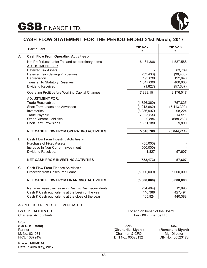



# **CASH FLOW STATEMENT FOR THE PERIOD ENDED 31st March, 2017**

|             | <b>Particulars</b>                                                           | 2016-17<br>₹       | 2015-16<br>₹        |
|-------------|------------------------------------------------------------------------------|--------------------|---------------------|
| A.          | <b>Cash Flow From Operating Activities :-</b>                                |                    |                     |
|             | Net Profit (Loss) after Tax and extraordinary Items<br><b>ADJUSTMENT FOR</b> | 6,184,386          | 1,587,588           |
|             | <b>Deferred Tax Assets</b>                                                   |                    | 83,789              |
|             | Deferred Tax (Savings)/Expenses                                              | (33, 438)          | (30, 400)           |
|             | Depreciation                                                                 | 193,030            | 192,648             |
|             | <b>Transfer To Statutory Reserves</b><br><b>Dividend Received</b>            | 1,547,000          | 400,000             |
|             |                                                                              | (1,827)            | (57, 607)           |
|             | <b>Operating Profit before Working Capital Changes</b>                       | 7,889,151          | 2,176,017           |
|             | <b>ADJUSTMENT FOR:</b>                                                       |                    |                     |
|             | <b>Trade Receivables</b>                                                     | (1,326,360)        | 757,825             |
|             | Short Term Loans and Advances                                                | (1,213,682)        | (7, 413, 302)       |
|             | Inventories                                                                  | (8,986,997)        | 98,224              |
|             | <b>Trade Payable</b><br><b>Other Current Liabilities</b>                     | 7,195,533          | 14,911              |
|             | <b>Short Term Provisions</b>                                                 | 9,884<br>1,951,180 | (688, 280)<br>9,890 |
|             |                                                                              |                    |                     |
|             | <b>NET CASH FLOW FROM OPERATING ACTIVITIES</b>                               | 5,518,709          | (5,044,714)         |
| B.          | Cash Flow From Investing Activities :-                                       |                    |                     |
|             | <b>Purchase of Fixed Assets</b>                                              | (55,000)           |                     |
|             | Increase In Non-Current Investment                                           | (500,000)          |                     |
|             | Dividend Received.                                                           | 1,827              | 57,607              |
|             | <b>NET CASH FROM INVESTING ACTIVITIES</b>                                    | (553, 173)         | 57,607              |
|             |                                                                              |                    |                     |
| $C_{\cdot}$ | Cash Flow From Finance Activities :-                                         |                    |                     |
|             | Proceeds from Unsecured Loans                                                | (5,000,000)        | 5,000,000           |
|             | <b>NET CASH FLOW FROM FINANCING ACTIVITIES</b>                               | (5,000,000)        | 5,000,000           |
|             | Net (decrease)/ increase in Cash & Cash equivalents                          | (34, 464)          | 12,893              |
|             | Cash & Cash equivalents at the begin of the year                             | 440,388            | 427,494             |
|             | Cash & Cash equivalents at the close of the year                             | 405,924            | 440,388             |

# AS PER OUR REPORT OF EVEN DATED

For **S. K. RATHI & CO.** Chartered Accountants

**Sd/- (CA S. K. Rathi) Partner** M. No. 031071 FRN: 108724W

**Place : MUMBAI. Date : 30th May, 2017** For and on behalf of the Board, **For GSB Finance Ltd.** 

**Sd/- (Girdharilal Biyani)**  Chairman & CFO DIN No.: 00523132

**Sd/- (Ramakant Biyani)**  Mg. Director DIN No.: 00523178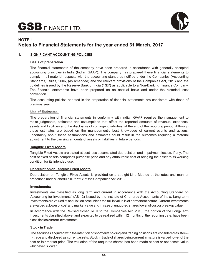

# **NOTE 1 Notes to Financial Statements for the year ended 31 March, 2017**

# **1. SIGNIFICANT ACCOUNTING POLICIES**

# **Basis of preparation**

The financial statements of the company have been prepared in accordance with generally accepted accounting principles in India (Indian GAAP). The company has prepared these financial statements to comply in all material respects with the accounting standards notified under the Companies (Accounting Standards) Rules, 2006, (as amended) and the relevant provisions of the Companies Act, 2013 and the guidelines issued by the Reserve Bank of India ('RBI') as applicable to a Non-Banking Finance Company. The financial statements have been prepared on an accrual basis and under the historical cost convention.

The accounting policies adopted in the preparation of financial statements are consistent with those of previous year.

### **Use of Estimates:**

The preparation of financial statements in conformity with Indian GAAP requires the management to make judgments, estimates and assumptions that affect the reported amounts of revenue, expenses, assets and liabilities and the disclosure of contingent liabilities, at the end of the reporting period. Although these estimates are based on the management's best knowledge of current events and actions, uncertainty about these assumptions and estimates could result in the outcomes requiring a material adjustment to the carrying amounts of assets or liabilities in future periods.

# **Tangible Fixed Assets**

Tangible Fixed Assets are stated at cost less accumulated depreciation and impairment losses, if any. The cost of fixed assets comprises purchase price and any attributable cost of bringing the asset to its working condition for its intended use.

# **Depreciation on Tangible Fixed Assets**

Depreciation on Tangible Fixed Assets is provided on a straight-Line Method at the rates and manner prescribed under Schedule II Part "C" of the Companies Act, 2013.

# **Investments:**

Investments are classified as long term and current in accordance with the Accounting Standard on 'Accounting for Investments' (AS 13) issued by the Institute of Chartered Accountants of India. Long-term investments are valued at acquisition cost unless the fall in value is of permanent nature. Current investments are valued at lower of cost and market value and in case of unquoted shares lower of cost or breakup value.

In accordance with the Revised Schedule III to the Companies Act, 2013, the portion of the Long-Term Investments classified above, and expected to be realized within 12 months of the reporting date, have been classified as current investments.

# **Stock in Trade**

The securities acquired with the intention of short term holding and trading positions are considered as stockin-trade and disclosed as current assets. Stock in trade of shares being current in nature is valued lower of the cost or fair market price. The valuation of the unquoted shares has been made at cost or net assets value whichever is lower.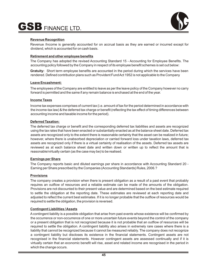

# **Revenue Recognition**

Revenue /Income is generally accounted for on accrual basis as they are earned or incurred except for dividend, which is accounted for on cash basis.

# **Retirement and other employee benefits**

The Company has adopted the revised Accounting Standard 15 - Accounting for Employee Benefits. The accounting policy followed by the Company in respect of its employee benefit schemes is set out below:

**Gratuity:** Short term employee benefits are accounted in the period during which the services have been rendered. Defined contribution plans such as Provident Fund Act 1952 is not applicable to the Company

# **Leave Encashment:**

The employees of the Company are entitled to leave as per the leave policy of the Company however no carry forward is permitted and the same if any remain balance is enchased at the end of the year.

# **Income Taxes**

Income tax expenses comprises of current tax (i.e. amount of tax for the period determined in accordance with the income-tax law) & the deferred tax charge or benefit (reflecting the tax effect of timing differences between accounting income and taxable income for the period).

# **Deferred Taxation:**

The deferred tax charge or benefit and the corresponding deferred tax liabilities and assets are recognized using the tax rates that have been enacted or substantially enacted as at the balance sheet date. Deferred tax assets are recognized only to the extent there is reasonable certainty that the asset can be realized in future; however, where there is unabsorbed depreciation or carried forward loss under taxation laws, deferred tax assets are recognized only if there is a virtual certainty of realisation of the assets. Deferred tax assets are reviewed as at each balance sheet date and written down or written up to reflect the amount that is reasonable/virtually certain (as the case may be) to be realised.

# **Earnings per Share**

The Company reports basic and diluted earnings per share in accordance with Accounting Standard 20 - Earning per Share prescribed by the Companies (Accounting Standards) Rules, 2006.?

# **Provisions**

The company creates a provision when there is present obligation as a result of a past event that probably requires an outflow of resources and a reliable estimate can be made of the amounts of the obligation. Provisions are not discounted to their present value and are determined based on the best estimate required to settle the obligation at the reporting date. These estimates are reviewed at each reporting date and adjusted to reflect the current best estimates. If it is no longer probable that the outflow of resources would be required to settle the obligation, the provision is reversed.

# **Contingent Liabilities / Assets**

Acontingent liability is a possible obligation that arise from past events whose existence will be confirmed by the occurrence or non-occurrence of one or more uncertain future events beyond the control of the company or a present obligation that is not recognized because it is not probable that an outflow of resources will be required to settle the obligation. A contingent liability also arises in extremely rare cases where there is a liability that cannot be recognized because it cannot be measured reliably. The company does not recognize a contingent liability but discloses its existence in the financial statements. Contingent assets are not recognised in the financial statements. However contingent assets are assessed continually and if it is virtually certain that an economic benefit will rise, asset and related income are recognised in the period in which the change occurs.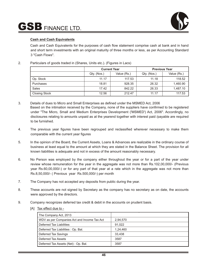

# **Cash and Cash Equivalents**

Cash and Cash Equivalents for the purposes of cash flow statement comprise cash at bank and in hand and short term investments with an original maturity of three months or less, as per Accounting Standard 3 "Cash Flows".

# 2. Particulars of goods traded in (Shares, Units etc.). (Figures in Lacs)

|                      | <b>Previous Year</b><br><b>Current Year</b> |        |             |             |
|----------------------|---------------------------------------------|--------|-------------|-------------|
|                      | Qty. (Nos.)<br>Value (Rs.)                  |        | Qty. (Nos.) | Value (Rs.) |
| Op. Stock            | 11.17                                       | 117.53 | 11.18       | 118.52      |
| Purchases            | 18.81                                       | 928.35 | 26.32       | 1,460.90    |
| Sales                | 17.42                                       | 842.22 | 26.33       | 1,487.10    |
| <b>Closing Stock</b> | 12.56                                       | 212.47 | 11.17       | 117.53      |

- 3. Details of dues to Micro and Small Enterprises as defined under the MSMED Act, 2006 Based on the intimation received by the Company, none of the suppliers have confirmed to be registered under "The Micro, Small and Medium Enterprises Development ('MSMED') Act, 2006". Accordingly, no disclosures relating to amounts unpaid as at the yearend together with interest paid /payable are required to be furnished.
- 4. The previous year figures have been regrouped and reclassified wherever necessary to make them comparable with the current year figures
- 5. In the opinion of the Board, the Current Assets, Loans & Advances are realizable in the ordinary course of business at least equal to the amount at which they are stated in the Balance Sheet. The provision for all known liabilities is adequate and not in excess of the amount reasonably necessary.
- 6. No Person was employed by the company either throughout the year or for a part of the year under review whose remuneration for the year in the aggregate was not more than Rs.102,00,000/- (Previous year Rs.60,00,000/-) or for any part of that year at a rate which in the aggregate was not more than Rs.8,50,000/- ( Previous year Rs.500,000/-) per month
- 7. The Company has not accepted any deposits from public during the year.
- 8. These accounts are not signed by Secretary as the company has no secretary as on date, the accounts were approved by the directors.
- 9. Company recognizes deferred tax credit & debit in the accounts on prudent basis.
	- [A] Tax effect due to -

| The Company Act, 2013                       |          |
|---------------------------------------------|----------|
| WDV as per Companies Act and Income Tax Act | 2,94,570 |
| Deferred Tax Liabilities                    | 91.022   |
| Deferred Tax Liabilities: Op. Bal.          | 1.24.460 |
| Deferred Tax Savings                        | 33.438   |
| Deferred Tax Assets                         | 3587     |
| Deferred Tax Assets (Net): Op. Bal.         | 3587     |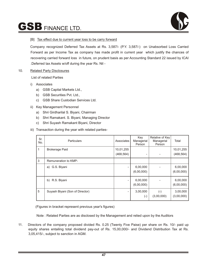

# [B] Tax effect due to current year loss to be carry forward

Company recognized Deferred Tax Assets at Rs. 3,587/- (P.Y. 3,587/-) on Unabsorbed Loss Carried Forward as per Income Tax as company has made profit in current year which justify the chances of recovering carried forward loss in future, on prudent basis as per Accounting Standard 22 issued by ICAI .Deferred tax Assets w/off during the year Rs. Nil -

# 10. Related Party Disclosures

List of related Parties

- i) Associates
	- a) GSB Capital Markets Ltd.,
	- b) GSB Securities Pvt. Ltd.,
	- c) GSB Share Custodian Services Ltd.
- ii) Key Management Personnel
	- a) Shri Girdharilal S. Biyani, Chairman
	- b) Shri Ramakant. S. Biyani, Managing Director
	- c) Shri Suyash Ramakant Biyani, Director
- iii) Transaction during the year with related parties-

| Sr.<br>No. | <b>Particulars</b>              | Associates              | Key<br>Managerial<br>Person | Relative of Key<br>Managerial<br>Person | Total                   |
|------------|---------------------------------|-------------------------|-----------------------------|-----------------------------------------|-------------------------|
| 1          | <b>Brokerage Paid</b>           | 10,01,255<br>(468, 564) | Ξ.                          |                                         | 10,01,255<br>(468, 564) |
| 3          | Remuneration to KMP-            |                         |                             |                                         |                         |
|            | a) G.S. Biyani                  |                         | 6,00,000<br>(6,00,000)      |                                         | 6,00,000<br>(6,00,000)  |
|            | R.S. Biyani<br>b)               |                         | 6,00,000<br>(6,00,000)      |                                         | 6,00,000<br>(6,00,000)  |
| 5          | Suyash Biyani (Son of Director) | Ξ.                      | 3,00,000<br>$(\text{-})$    | $(\textnormal{-})$<br>(3,00,000)        | 3,00,000<br>(3,00,000)  |

(Figures in bracket represent previous year's figures)

Note : Related Parties are as disclosed by the Management and relied upon by the Auditors

11. Directors of the company proposed divided Rs. 0.25 (Twenty Five Paise) per share on Rs. 10/- paid up equity shares entailing total dividend pay-out of Rs. 15,00,000/- and Dividend Distribution Tax at Rs. 3,05,415/-, subject to sanction in AGM.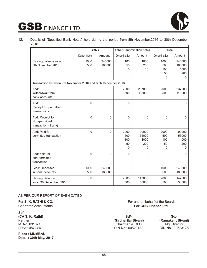

12. Details of "Specified Bank Notes" held during the period from 8th November,2016 to 30th December, 2016:

|                                                              |              | <b>SBNs</b>      |                                | <b>Other Denomination notes</b>     |                                | Total                                 |
|--------------------------------------------------------------|--------------|------------------|--------------------------------|-------------------------------------|--------------------------------|---------------------------------------|
|                                                              | Denomination | Amount           | Denomination                   | Amount                              | Denomination                   | Amount                                |
| Closing balance as at<br>8th November 2016                   | 1000<br>500  | 245000<br>186000 | 100<br>50<br>10                | 1000<br>200<br>10                   | 1000<br>500<br>100<br>50<br>10 | 245000<br>186000<br>1000<br>200<br>10 |
| Transaction between 9th November 2016 and 30th December 2016 |              |                  |                                |                                     |                                |                                       |
| Add:<br>Withdrawal from<br>bank accounts                     |              |                  | 2000<br>500                    | 237000<br>113000                    | 2000<br>500                    | 237000<br>113000                      |
| Add:<br>Receipt for permitted<br>transactions                | 0            | $\Omega$         | $\overline{0}$                 | $\mathbf{0}$                        | $\mathbf 0$                    | $\Omega$                              |
| Add: Receipt for<br>Non-permitted<br>transaction (if any)    | 0            | $\mathbf{0}$     | $\mathbf 0$                    | 0                                   | $\mathbf 0$                    | $\mathbf{0}$                          |
| Add: Paid for<br>permitted transaction                       | $\mathbf 0$  | $\boldsymbol{0}$ | 2000<br>500<br>100<br>50<br>10 | 90000<br>55000<br>1000<br>200<br>10 | 2000<br>500<br>100<br>50<br>10 | 90000<br>55000<br>1000<br>200<br>10   |
| Add: paid for<br>non-permitted<br>transaction                | 0            | $\Omega$         | $\Omega$                       | $\mathbf{0}$                        | $\mathbf{0}$                   | 0                                     |
| Less: Deposited<br>in bank accounts                          | 1000<br>500  | 245000<br>186000 |                                |                                     | 1000<br>500                    | 245000<br>186000                      |
| <b>Closing Balance</b><br>as at 30 December, 2016            | $\mathbf{0}$ | $\Omega$         | 2000<br>500                    | 147000<br>58000                     | 2000<br>500                    | 147000<br>58000                       |

# AS PER OUR REPORT OF EVEN DATED

For **S. K. RATHI & CO.**

Chartered Accountants

**Sd/- (CA S. K. Rathi) Partner** M. No. 031071 FRN: 108724W

**Place : MUMBAI. Date : 30th May, 2017** For and on behalf of the Board, **For GSB Finance Ltd.** 

**Sd/- (Girdharilal Biyani)**  Chairman & CFO DIN No.: 00523132

**Sd/- (Ramakant Biyani)**  Mg. Director DIN No.: 00523178

<u> 1989 - John Barnett, fransk politiker (</u>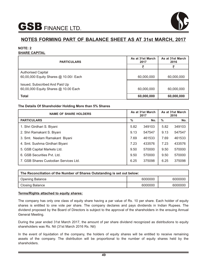

# **NOTE: 2 SHARE CAPITAL**

| <b>PARTICULARS</b>                                                     | As at 31st March<br>2017 | As at 31st March<br>2016 |
|------------------------------------------------------------------------|--------------------------|--------------------------|
|                                                                        |                          |                          |
| <b>Authorised Capital</b>                                              |                          |                          |
| 60,00,000 Equity Shares @ 10.00/- Each                                 | 60,000,000               | 60,000,000               |
| Issued, Subscribed And Paid Up<br>60,00,000 Equity Shares @ 10.00 Each | 60,000,000               | 60,000,000               |
| <b>Total</b>                                                           | 60,000,000               | 60,000,000               |

# **The Details Of Shareholder Holding More than 5% Shares**

| <b>NAME OF SHARE HOLDERS</b>          |      | As at 31st March<br>2017 |      | As at 31st March<br>2016 |  |
|---------------------------------------|------|--------------------------|------|--------------------------|--|
| <b>PARTICULARS</b>                    | %    | No.                      | $\%$ | No.                      |  |
| 1. Shri Girdhari S. Biyani            | 5.82 | 349103                   | 5.82 | 349103                   |  |
| 2. Shri Ramakant S. Biyani            | 9.13 | 547547                   | 9.13 | 547547                   |  |
| 3. Smt. Neelam Ramakant Biyani        | 7.69 | 461533                   | 7.69 | 461533                   |  |
| 4. Smt. Sushma Girdhari Biyani        | 7.23 | 433576                   | 7.23 | 433576                   |  |
| 5. GSB Capital Markets Ltd.           | 9.50 | 570000                   | 9.50 | 570000                   |  |
| 6. GSB Securities Pvt. Ltd.           | 9.50 | 570000                   | 9.50 | 570000                   |  |
| 7. GSB Shares Custodian Services Ltd. | 6.25 | 375098                   | 6.25 | 375098                   |  |

| The Reconciliation of the Number of Shares Outstanding is set out below: |  |  |  |  |
|--------------------------------------------------------------------------|--|--|--|--|
| 6000000<br>6000000<br><b>Opening Balance</b>                             |  |  |  |  |
| 6000000<br>6000000<br>Closing Balance                                    |  |  |  |  |

# **Terms/Rights attached to equity shares:**

The company has only one class of equity share having a par value of Rs. 10 per share. Each holder of equity shares is entitled to one vote per share. The company declares and pays dividends in Indian Rupees. The dividend proposed by the Board of Directors is subject to the approval of the shareholders in the ensuing Annual General Meeting.

During the year ended 31st March 2017, the amount of per share dividend recognized as distributions to equity shareholders was Rs. Nil (31st March 2016 Rs. Nil)

In the event of liquidation of the company, the holders of equity shares will be entitled to receive remaining assets of the company. The distribution will be proportional to the number of equity shares held by the shareholders.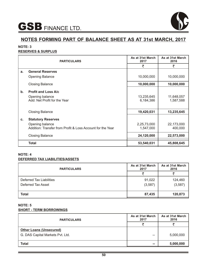

# **NOTE: 3**

# **RESERVES & SURPLUS**

| <b>PARTICULARS</b> |                                                                               | As at 31st March<br>2017 | As at 31st March<br>2016 |
|--------------------|-------------------------------------------------------------------------------|--------------------------|--------------------------|
|                    |                                                                               | ₹                        | ₹                        |
| a.                 | <b>General Reserves</b>                                                       |                          |                          |
|                    | <b>Opening Balance</b>                                                        | 10,000,000               | 10,000,000               |
|                    | <b>Closing Balance</b>                                                        | 10,000,000               | 10,000,000               |
| $\mathbf b$ .      | <b>Profit and Loss A/c</b>                                                    |                          |                          |
|                    | Opening balance<br>Add: Net Profit for the Year                               | 13,235,645<br>6,184,386  | 11,648,057<br>1,587,588  |
|                    | <b>Closing Balance</b>                                                        | 19,420,031               | 13,235,645               |
| c.                 | <b>Statutory Reserves</b>                                                     |                          |                          |
|                    | Opening balance<br>Addition: Transfer from Profit & Loss Account for the Year | 2,25,73,000<br>1,547,000 | 22,173,000<br>400,000    |
|                    | <b>Closing Balance</b>                                                        | 24,120,000               | 22,573,000               |
|                    | <b>Total</b>                                                                  | 53,540,031               | 45,808,645               |

# **NOTE: 4 DEFERRED TAX LIABILITIES/ASSETS**

| <b>PARTICULARS</b>                                    | As at 31st March<br>2017 | As at 31st March<br>2016 |
|-------------------------------------------------------|--------------------------|--------------------------|
|                                                       |                          |                          |
| <b>Deferred Tax Liabilities</b><br>Deferred Tax Asset | 91,022<br>(3,587)        | 124,460<br>(3, 587)      |
| <b>Total</b>                                          | 87,435                   | 120,873                  |

# **NOTE: 5 SHORT - TERM BORROWINGS**

| <b>PARTICULARS</b>                                                 | As at 31st March<br>2017 | As at 31st March<br>2016 |
|--------------------------------------------------------------------|--------------------------|--------------------------|
|                                                                    |                          |                          |
| <b>Other Loans (Unsecured)</b><br>G. DAS Capital Markets Pvt. Ltd. | --                       | 5,000,000                |
| <b>Total</b>                                                       | --                       | 5,000,000                |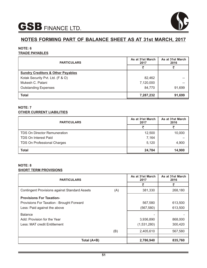

# **NOTE: 6 TRADE PAYABLES**

| <b>PARTICULARS</b>                           | As at 31st March<br>2017 | As at 31st March<br>2016 |
|----------------------------------------------|--------------------------|--------------------------|
|                                              |                          |                          |
| <b>Sundry Creditors &amp; Other Payables</b> |                          |                          |
| Kotak Security Pvt. Ltd. (F & O)             | 82,462                   |                          |
| Mukesh C. Patani                             | 7,120,000                |                          |
| <b>Outstanding Expenses</b>                  | 84,770                   | 91,699                   |
| <b>Total</b>                                 | 7,287,232                | 91,699                   |

# **NOTE: 7 OTHER CURRENT LIABILITIES**

| <b>PARTICULARS</b>                  | As at 31st March<br>2017 | As at 31st March<br>2016 |
|-------------------------------------|--------------------------|--------------------------|
|                                     |                          |                          |
| <b>TDS On Director Remuneration</b> | 12,500                   | 10,000                   |
| <b>TDS On Interest Paid</b>         | 7,164                    |                          |
| TDS On Professional Charges         | 5,120                    | 4,900                    |
| <b>Total</b>                        | 24,784                   | 14,900                   |

# **NOTE: 8 SHORT TERM PROVISIONS**

| <b>PARTICULARS</b>                                   |     | As at 31st March<br>2017 | As at 31st March<br>2016 |
|------------------------------------------------------|-----|--------------------------|--------------------------|
|                                                      |     | ₹                        | ₹                        |
| <b>Contingent Provisions against Standard Assets</b> | (A) | 381,330                  | 268,180                  |
| <b>Provisions For Taxation-</b>                      |     |                          |                          |
| Provisions For Taxation: Brought Forward             |     | 567,580                  | 613,500                  |
| Less: Paid against the above                         |     | (567, 580)               | 613,500                  |
| <b>Balance</b>                                       |     |                          |                          |
| Add: Provision for the Year                          |     | 3,936,890                | 868,000                  |
| Less: MAT credit Entitlement                         |     | (1,531,280)              | 300,420                  |
|                                                      | (B) | 2,405,610                | 567,580                  |
| Total (A+B)                                          |     | 2,786,940                | 835,760                  |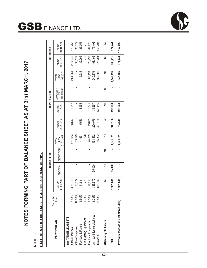# NOTES FORMING PART OF BALANCE SHEET AS AT 31st MARCH, 2017 **NOTES FORMING PART OF BALANCE SHEET AS AT 31st MARCH, 2017**

# **NOTE : 9**

# STATEMENT OF FIXED ASSETS AS ON 31ST MARCH, 2017 **STATEMENT OF FIXED ASSETS AS ON 31ST MARCH, 2017**

**GSB** FINANCE LTD.

|                                       | Depreciation |                     |                 | GROSS BLOCK      |                             |                     |                                  | DEPRECIATION                            |                                  |                     | NET BLOCK           |
|---------------------------------------|--------------|---------------------|-----------------|------------------|-----------------------------|---------------------|----------------------------------|-----------------------------------------|----------------------------------|---------------------|---------------------|
| <b>PARTICULAR</b>                     | Rate         | 01.04.2016<br>AS ON | <b>ADDITION</b> | <b>DEDUCTION</b> | 31.03.2017<br>OLdn<br>TOTAL | 01.04.2016<br>AS ON | <b>THE YEAR</b><br><b>DURING</b> | <b>ADJUSTMENTS</b><br>FOR<br>DEDUCTIONS | 31.03.2017<br><b>RAN<br/>DEB</b> | 31.03.2017<br>AS ON | 01.04.2016<br>AS ON |
| (A) TANGIBLE ASSETS                   |              |                     |                 |                  |                             |                     |                                  |                                         |                                  |                     |                     |
| Office Premises                       | 1.58%        | 4,81,913            |                 | ï                | 4,81,913                    | 2,58,647            | 5,617                            |                                         | 2,64,264                         | 2,17,649            | 2,23,266            |
| Office Equipment                      | 19.00%       | 33,179              |                 | ï                | 33,179                      |                     |                                  | ı                                       |                                  | 33,179              | 33,179              |
| Furniture & Fixture                   | 9.50%        | 41,631              |                 | ı                | 41,631                      | 5,580               | 3,955                            |                                         | 9,535                            | 32,096              | 36,051              |
| Fire Fighting Equipment               | $6.33\%$     | 270                 |                 | $\blacksquare$   | 270                         |                     |                                  | ı                                       |                                  | 270                 | 270                 |
| Electrical Equipments                 | 9.50%        | 94,653              |                 | ı                | 94,653                      | 49,675              | 16,745                           |                                         | 66,420                           | 28,233              | 44,978              |
| Air - conditioning Machines           | 6.33%        | 383,572             | 55,000          | ı                | 438,572                     | 206,079             | 34,297                           |                                         | 240,376                          | 198,196             | 177,493             |
| Motor Car                             | 11.88%       | 886,392             |                 | ı                | 886,392                     | 427,185             | 132,416                          |                                         | 559,601                          | 326,791             | 459,207             |
| (B) Intangible Assets                 |              | Ξ                   | Ξ               | Ē                | Ξ                           | Ē                   | Ξ                                | Ξ                                       | $\bar{\bar{z}}$                  | Ξ                   | ₹                   |
| Total                                 |              | 1,921,611           | 55,000          |                  | 1,976,611                   | 947,166             | 193,030                          |                                         | 1,140,196                        | 836,415             | 974,444             |
| Previous Year (As at 31st March 2016) |              | 1,921,611           |                 |                  | 1,921,611                   | 754,519             | 192,648                          |                                         | 947,166                          | 974,444             | 1,167,092           |

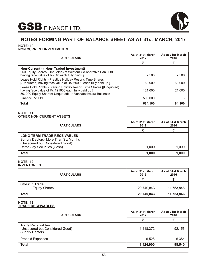

# **NOTE: 10**

# **NON CURRENT INVESTMENTS**

| <b>PARTICULARS</b>                                                                                                                                                                       | As at 31st March<br>2017 | As at 31st March<br>2016 |
|------------------------------------------------------------------------------------------------------------------------------------------------------------------------------------------|--------------------------|--------------------------|
|                                                                                                                                                                                          |                          |                          |
| Non-Current - (Non-Traded Investment)<br>250 Equity Shares (Unquoted) of Western Co-operative Bank Ltd.<br>having face value of Rs. 10 each fully paid up                                | 2.500                    | 2,500                    |
| Lease Hold Rights - Prestige Holiday Resorts Time Shares<br>[(Unquoted) having face value of Rs. 60000 each fully paid up ]                                                              | 60,000                   | 60,000                   |
| Lease Hold Rights - Sterling Holiday Resort Time Shares [(Unquoted)<br>having face value of Rs.121600 each fully paid up ]<br>50, 000 Equity Shares( Unquoted) in Venkateshwara Business | 121.600                  | 121.600                  |
| Finance Pyt Ltd                                                                                                                                                                          | 500,000                  |                          |
| Total                                                                                                                                                                                    | 684.100                  | 184.100                  |

### **NOTE: 11 OTHER NON CURRENT ASSETS**

| <b>PARTICULARS</b>                                                                                                                            | As at 31st March<br>2017 | As at 31st March<br>2016 |
|-----------------------------------------------------------------------------------------------------------------------------------------------|--------------------------|--------------------------|
|                                                                                                                                               |                          |                          |
| <b>LONG TERM TRADE RECEIVABLES</b><br>Sundry Debtors- More Than Six Months<br>(Unsecured but Considered Good)<br>Refco-Sify Securities (Cash) | 1.000                    | 1,000                    |
| Total                                                                                                                                         | 1,000                    | 1,000                    |

### **NOTE: 12 INVENTORIES**

| <b>PARTICULARS</b>                             | As at 31st March<br>2017 | As at 31st March<br>2016 |
|------------------------------------------------|--------------------------|--------------------------|
|                                                |                          |                          |
| <b>Stock In Trade:</b><br><b>Equity Shares</b> | 20,740,843               | 11,753,846               |
| <b>Total</b>                                   | 20,740,843               | 11,753,846               |

### **NOTE: 13 TRADE RECEIVABLES**

| <b>PARTICULARS</b>                                                                   | As at 31st March<br>2017 | As at 31st March<br>2016 |
|--------------------------------------------------------------------------------------|--------------------------|--------------------------|
|                                                                                      |                          |                          |
| <b>Trade Receivables</b><br>(Unsecured but Considered Good)<br><b>Sundry Debtors</b> | 1,418,372                | 92,156                   |
| <b>Prepaid Expenses</b>                                                              | 6,528                    | 6,384                    |
| <b>Total</b>                                                                         | 1,424,900                | 98,540                   |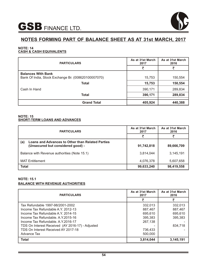

### **NOTE: 14 CASH & CASH EQUIVALENTS**

| <b>PARTICULARS</b>                                                               | As at 31st March<br>2017 | As at 31st March<br>2016 |
|----------------------------------------------------------------------------------|--------------------------|--------------------------|
|                                                                                  |                          |                          |
| <b>Balances With Bank</b><br>Bank Of India, Stock Exchange Br. (008620100007070) | 15,753                   | 150,554                  |
| <b>Total</b>                                                                     | 15,753                   | 150,554                  |
| Cash In Hand                                                                     | 390,171                  | 289,834                  |
| <b>Total</b>                                                                     | 390,171                  | 289,834                  |
| <b>Grand Total</b>                                                               | 405,924                  | 440,388                  |

### **NOTE: 15 SHORT-TERM LOANS AND ADVANCES**

| <b>PARTICULARS</b>                                                                                  | As at 31st March<br>2017 | As at 31st March<br>2016 |
|-----------------------------------------------------------------------------------------------------|--------------------------|--------------------------|
|                                                                                                     | ₹                        |                          |
| <b>Loans and Advances to Other than Related Parties</b><br>(a)<br>(Unsecured but considered good) - | 91,742,818               | 89,666,709               |
| Balance with Revenue authorities (Note 15.1)                                                        | 3,814,044                | 3,145,191                |
| <b>MAT Entitlement</b>                                                                              | 4,076,378                | 5,607,658                |
| <b>Total</b>                                                                                        | 99,633,240               | 98,419,558               |

# **NOTE: 15.1 BALANCE WITH REVENUE AUTHORITIES**

| <b>PARTICULARS</b>                               | As at 31st March<br>2017 | As at 31st March<br>2016 |
|--------------------------------------------------|--------------------------|--------------------------|
|                                                  |                          |                          |
| Tax Refundable 1997-98/2001-2002                 | 332,013                  | 332,013                  |
| Income Tax Refundable A.Y. 2012-13               | 887,467                  | 887,467                  |
| Income Tax Refundable A.Y. 2014-15               | 695,610                  | 695,610                  |
| Income Tax Refundable. A.Y.2015-16               | 395,383                  | 395,383                  |
| Income Tax Refundable, A.Y.2016-17               | 267,138                  |                          |
| TDS On Interest Received (AY 2016-17) - Adjusted |                          | 834,718                  |
| TDS On Interest Received AY 2017-18              | 736,433                  |                          |
| Advance Tax                                      | 500,000                  |                          |
| <b>Total</b>                                     | 3,814,044                | 3,145,191                |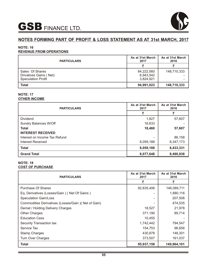

# **NOTES FORMING PART OF PROFIT & LOSS STATEMENT AS AT 31st MARCH, 2017**

# **NOTE: 16**

# **REVENUE FROM OPERATIONS**

| <b>PARTICULARS</b>                                                     | As at 31st March<br>2017             | As at 31st March<br>2016 |
|------------------------------------------------------------------------|--------------------------------------|--------------------------|
|                                                                        |                                      |                          |
| Sales Of Shares<br>Drivatives Gains (Net)<br><b>Speculation Profit</b> | 84,222,560<br>6,943,542<br>3,824,921 | 148,710,333              |
| Total                                                                  | 94,991,023                           | 148,710,333              |

# **NOTE: 17 OTHER INCOME**

| <b>PARTICULARS</b>            | As at 31st March<br>2017 | As at 31st March<br>2016 |
|-------------------------------|--------------------------|--------------------------|
|                               | チ                        | ₹                        |
| Dividend                      | 1,827                    | 57,607                   |
| Sundry Balances W/Off         | 16,633                   |                          |
| <b>Total</b>                  | 18,460                   | 57,607                   |
| <b>INTEREST RECEIVED</b>      |                          |                          |
| Interest on Income Tax Refund |                          | 86,158                   |
| Interest Received             | 8,059,188                | 8,347,173                |
| <b>Total</b>                  | 8,059,188                | 8,433,331                |
| <b>Grand Total</b>            | 8,077,648                | 8,490,938                |

# **NOTE: 18 COST OF PURCHASE**

| <b>PARTICULARS</b>                                  | As at 31st March<br>2017 | As at 31st March<br>2016 |
|-----------------------------------------------------|--------------------------|--------------------------|
|                                                     | ₹                        | ₹                        |
| Purchase Of Shares                                  | 92,835,406               | 146,089,711              |
| Eq. Derivatives (Losses/Gain) (Net Of Gains)        |                          | 1,880,116                |
| <b>Speculation Gain/Loss</b>                        |                          | 207,506                  |
| Commodities Derivatives (Losses/Gain) (Net of Gain) |                          | 474,535                  |
| Demat / Holding Delivery Charges                    | 18,527                   | 21,978                   |
| <b>Other Charges</b>                                | 371,190                  | 89,714                   |
| <b>Education Cess</b>                               | 10,455                   |                          |
| Security Transaction tax                            | 1,742,442                | 794,547                  |
| Service Tax                                         | 154,753                  | 96,656                   |
| <b>Stamp Charges</b>                                | 430,878                  | 148,301                  |
| <b>Turn Over Charges</b>                            | 373,507                  | 161,037                  |
| Total                                               | 95,937,158               | 149,964,101              |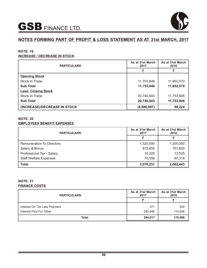

# **NOTES FORMING PART OF PROFIT & LOSS STATEMENT AS AT 31st MARCH, 2017**

# **NOTE: 19**

# **INCREASE / DECREASE IN STOCK**

| <b>PARTICULARS</b>           | As at 31st March<br>2017 | As at 31st March<br>2016 |
|------------------------------|--------------------------|--------------------------|
|                              | ₹                        | ₹                        |
| <b>Opening Stock</b>         |                          |                          |
| Stock In Trade               | 11,753,846               | 11,852,070               |
| <b>Sub Total</b>             | 11,753,846               | 11,852,070               |
| <b>Less: Closing Stock</b>   |                          |                          |
| Stock In Trade               | 20,740,843               | 11,753,846               |
| <b>Sub Total</b>             | 20,740,843               | 11,753,846               |
| (INCREASE)/DECREASE IN STOCK | (8,986,997)              | 98,224                   |

# **NOTE: 20 EMPLOYEES BENEFIT EXPENSES**

| <b>PARTICULARS</b>               | As at 31st March<br>2017 | As at 31st March<br>2016 |
|----------------------------------|--------------------------|--------------------------|
|                                  |                          |                          |
| <b>Remuneration To Directors</b> | 1,325,000                | 1,200,000                |
| Salary & Bonus                   | 670,650                  | 751,600                  |
| Professional Tax - Salary        | 10,025                   | 13,525                   |
| <b>Staff Welfare Expenses</b>    | 70,556                   | 97,318                   |
| Total                            | 2,076,231                | 2,062,443                |

# **NOTE: 21 FINANCE COSTS**

| <b>PARTICULARS</b>           | As at 31st March<br>2017 | As at 31st March<br>2016 |
|------------------------------|--------------------------|--------------------------|
|                              |                          |                          |
| Interest On Tds Late Payment | 371                      | 452                      |
| Interest Paid For Other      | 283,646                  | 114,636                  |
| Total                        | 284,017                  | 115,088                  |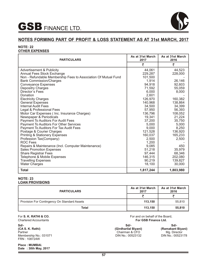

# **NOTES FORMING PART OF PROFIT & LOSS STATEMENT AS AT 31st MARCH, 2017**

### **NOTE: 22 OTHER EXPENSES**

| <b>PARTICULARS</b>                                             | As at 31st March<br>2017 | As at 31st March<br>2016 |
|----------------------------------------------------------------|--------------------------|--------------------------|
|                                                                | ₹                        | ₹                        |
| <b>Advertisement &amp; Publicity</b>                           | 44,061                   | 44,523                   |
| Annual Fees Stock Exchange                                     | 229,287                  | 228,000                  |
| Non - Refundable Membership Fees to Association Of Mutual Fund | 101,500                  |                          |
| <b>Bank Commission/Charges</b>                                 | 1,914                    | 26,146                   |
| <b>Conveyance Expenses</b>                                     | 94,918                   | 92,603                   |
| Depositry Charges                                              | 71,592                   | 55,059                   |
| Director's Fees                                                | 6,000                    | 8,000                    |
| Donation                                                       | 2,601                    |                          |
| <b>Electricity Charges</b>                                     | 126,970                  | 160,382                  |
| <b>General Expenses</b>                                        | 140,968                  | 138,864                  |
| <b>Internal Audit Fees</b>                                     | 34,500                   | 34,399                   |
| Legal & Professional Fees                                      | 57,950                   | 56,393                   |
| Motor Car Expenses ( Inc. Insurance Charges)                   | 136,796                  | 108,052                  |
| Newspaper & Periodicals                                        | 19,341                   | 21,224                   |
| Payment To Auditors For Audit Fees                             | 37,200                   | 35,750                   |
| Payment To Auditors For Other Services                         | 5,000                    | 5,000                    |
| Payment To Auditors For Tax Audit Fees                         | 9,000                    | 8,250                    |
| Postage & Courier Charges                                      | 121,528                  | 136,920                  |
| <b>Printing &amp; Stationery Expenses</b>                      | 160,037                  | 165,233                  |
| Profession Tax(Company)                                        | 2,500                    | 2,500                    |
| <b>ROC Fees</b>                                                | 1,200                    |                          |
| Repairs & Maintenance (Incl. Computer Maintenance)             | 9,085                    | 450                      |
| <b>Sales Promotion Expenses</b>                                | 51,218                   | 35,979                   |
| <b>Share Registrar Fees</b>                                    | 97,444                   | 68,346                   |
| Telephone & Mobile Expenses                                    | 146,315                  | 202,080                  |
| <b>Travelling Expenses</b>                                     | 90,219                   | 139,827                  |
| <b>Water Charges</b>                                           | 18,100                   | 30,000                   |
| <b>Total</b>                                                   | 1,817,244                | 1,803,980                |

### **NOTE: 23 LOAN PROVISIONS**

| <b>PARTICULARS</b>                           | As at 31st March<br>2017 | As at 31st March<br>2016 |
|----------------------------------------------|--------------------------|--------------------------|
|                                              |                          |                          |
| Provision For Contingency On Standard Assets | 113.150                  | 55,810                   |
| <b>Total</b>                                 | 113.150                  | 55,810                   |

For **S. K. RATHI & CO.** Chartered Accountants

**Sd/- (CA S. K. Rathi)** Partner Membership No.: 031071 FRN : 108724W

**Place : MUMBAI. Date : 30th May, 2017** For and on behalf of the Board, **For GSB Finance Ltd.** 

**Sd/- (Girdharilal Biyani)** Chairman & CFO DIN No.: 00523132

**Sd/- (Ramakant Biyani)** Mg. Director DIN No.: 00523178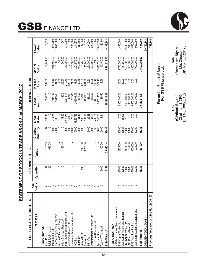| EQUITY SHARES (QUOTED)                     |                    |                | <b>OPENING STOCK</b> |                     |                    |                     | CLOSING STOCK              |                          |                    |
|--------------------------------------------|--------------------|----------------|----------------------|---------------------|--------------------|---------------------|----------------------------|--------------------------|--------------------|
| SCRIP                                      | alue<br>Face<br>⋗  | Quantity       | Value                | Quantity<br>Closing | Cost<br>Rate       | Amount<br>Cost      | Market<br>Rate             | Market<br>Value          | Lower<br>Value     |
| Equity Quoted-<br>Adani Ports              | 220100000205000120 | 5              | 15,853               | 5                   | 163.43             | 15852.7             | 339.60                     | 32,941.20                | 15,853             |
| Balaji Telefilms Ltd.<br>Bharat Bijlee Ltd |                    | 25             | 1646.25              | 1000                | 914.75             | 914750              | 915.40                     | 915,400.00               | 914,750            |
| Bhansali Engineering Polymers              |                    | ٠              |                      | 50000               | 32.83              | 1641500             | 34.70                      | 1,735,000.00             | ,641,500           |
| Guj.Nre Coke Ltd. (Pref.                   |                    | 15             |                      |                     |                    |                     | 2.60                       | 39.00                    |                    |
| Indian Overseas Bank Ltd                   |                    | $\supseteq$    | 423.5                |                     | 42.35              | 423.5               | 26.65                      | 266.50                   | 267                |
| ndia Tourism Development Corp              |                    |                |                      | 1500                | 404.4876           | 606731.4            | 212.80                     | 319,200.00               | 319,200            |
| Medicamen Biotech Ltd.                     |                    |                |                      | 200                 | 84.995             | 16999               | 288.05                     | 57,610.00                | 16,999             |
| Mahanagar Telephone Nigam Ltd.             |                    | ٠              |                      | 50000               | 25.23              | 1261500             | 24.00                      | 1,200,000.00             | ,200,000           |
| On Mobile<br>NCC Ltd.                      |                    |                |                      | 2500<br>10000       | 83.83726<br>81.16  | 209593.15<br>811600 | 90.35<br>81.95             | 204,875.00<br>903,500.00 | 204,875<br>811,600 |
| Ruby Mills Ltd                             |                    | 200            | 37,938.00            | 200                 | 189.69             | 37938               | 326.25                     | 65,250.00                | 37,938             |
| Siyaram Ltd.                               |                    | $\overline{C}$ | 8,750.00             | $\Rightarrow$       | 1,035.21           | 10352.1             | ,694.70                    | 16,947.00                | 10,352             |
| Skil Infra                                 |                    |                |                      | 15000               | 25.88              | 388200              | 19.60                      | 294,000.00               | 294,000            |
| Srei Infrastructure Finance Ltd            |                    |                |                      | 10000               | 85.98              | 859800              | 82.95                      | 829,500.00               | 829,500            |
| Suven Life Sciences Ltd                    |                    |                |                      | 8                   | 202.51             | 12150.6             | 165.40                     | 9,924.00                 | 9,924              |
| Symphony Ltd.                              |                    |                |                      | 1840                | ,540.84            | 2835145.6           | 529.15                     | 2,813,636.00             | 2,813,636          |
| Today'S Writing Ltd.                       |                    | 5000           | 11,300.00            | 5000                | 3.31               | 16550               | 2.69                       | 13,450.00                | 13,450             |
| Sub-Total (A)                              |                    | 5357           | 75,910.46            | 147432              |                    | 9639086.06          |                            | 9,411,538.70             | 9,133,843          |
| Equity Unquoted                            |                    |                |                      |                     |                    |                     |                            |                          |                    |
| In Related Parties Group Companies:        |                    |                |                      |                     |                    |                     |                            |                          |                    |
| GSB Capital Market Ltd                     | 999999             | 285500         | 2855000              | 285500              | 10.00              | 2,855,000.00        | 20.00                      | 5,710,000.00             | 2,855,000          |
| GSB Capital Market Ltd. (Bonus)            |                    | 67583          |                      | 67583               | <b>Bonus</b>       |                     | 20.00                      | 1,351,660.00             |                    |
| GSB Capital Market Ltd.                    |                    | 120000         | 2400000              | 120000              | 20.00              | 2,400,000.00        | 20.00                      | 2,400,000.00             | 2,400,000          |
| GSB Commodities Pvt                        |                    | 90000          | 900000               | 90000               | 10.00              | 900,000.00          | 10.00                      | 900,000.00               | 900,000            |
| GSB Securities Pvt Ltd                     |                    | 355000         | 3550000              | 355000              | $10.00$<br>$10.00$ | 3,550,000.00        | $10.00$<br>$10.00$         | 3,550,000.00             | 3,550,000          |
| GSB Share Custodian Services Ltd           |                    | 190200         | 1902000              | 190200              |                    | 1,902,000.00        |                            | 1,902,000.00             | 1,902,000          |
| Sub-Total (B)                              |                    | 1108283        | 11607000             | 1108283             |                    | 30,869,319.41       |                            | 34,603,796.20            | 11,607,000         |
| GRAND TOTAL (A+B)                          |                    |                |                      |                     |                    |                     |                            |                          | 20,740,843         |
| Previous Year (As at 31st March 2016)      |                    |                |                      |                     |                    |                     |                            |                          | 11,753,846         |
|                                            |                    |                |                      |                     |                    |                     |                            |                          |                    |
|                                            |                    |                |                      |                     |                    |                     | For and on Behalf of Board |                          |                    |
|                                            |                    |                |                      |                     |                    |                     | For GSB Finance Ltd.       |                          |                    |

STATEMENT OF STOCK IN TRADE AS ON 31st MARCH, 2017 **STATEMENT OF STOCK IN TRADE AS ON 31st MARCH, 2017** **Sd/-**<br>**(Ramakant Biyani)**<br>Mg. Director<br>DIN No.: 00523178 **(Ramakant Biyani)**  Mg. Director DIN No.: 00523178

**Sd/-**<br>**(Girdhari Biyani)**<br>Chairman & CFO<br>DIN No.: 00523132 **(Girdhari Biyani)** Chairman & CFO DIN No.: 00523132



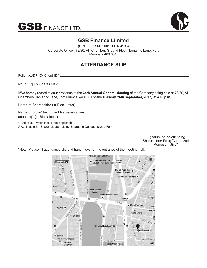



# **GSB Finance Limited**

(CIN L99999MH2001PLC134193) Corporate Office : 78/80, Alli Chamber, Ground Floor, Tamarind Lane, Fort Mumbai - 400 001.

# **ATTENDANCE SLIP**

Folio No./DP ID/ Client ID#

No. of Equity Shares Held

I/We hereby record my/our presence at the **34th Annual General Meeting** of the Company being held at 78/80, Ali Chambers, Tamarind Lane, Fort, Mumbai - 400 001 on the **Tuesday, 26th September, 2017, at 4.00 p.m**

Name of Shareholder (In Block letter)

Name of proxy/ Authorized Representatives attending\* (In Block letter)

\* Strike out whichever is not applicable

# Applicable for Shareholders holding Shares in Dematerialized Form.

Signature of the attending Shareholder/ Proxy/Authorized Representative\*

\*Note: Please fill attendance slip and hand it over at the entrance of the meeting hall.

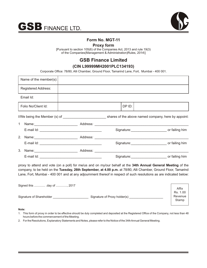



# **Form No. MGT-11**

# **Proxy form**

[Pursuant to section 105(6) of the Companies Act, 2013 and rule 19(3) of the Companies(Management & Administration)Rules, 2014\]

# **GSB Finance Limited**

# **(CIN L99999MH2001PLC134193)**

Corporate Office: 78/80, Alli Chamber, Ground Floor, Tamarind Lane, Fort, Mumbai - 400 001.

| Name of the member(s): |                                                                                                                                                                                                                            |  |
|------------------------|----------------------------------------------------------------------------------------------------------------------------------------------------------------------------------------------------------------------------|--|
| Registered Address:    |                                                                                                                                                                                                                            |  |
| Email Id:              |                                                                                                                                                                                                                            |  |
| Folio No/Client Id:    | DP ID:                                                                                                                                                                                                                     |  |
|                        | I/We being the Member (s) of ________________________________ shares of the above named company, here by appoint:                                                                                                          |  |
| $1 \quad$              |                                                                                                                                                                                                                            |  |
|                        | Signature: ___________________________________ or failing him                                                                                                                                                              |  |
|                        |                                                                                                                                                                                                                            |  |
|                        | Signature: __________________________ or failing him                                                                                                                                                                       |  |
|                        | 3. Name: 2008. [2016] Address: 2008. [2016] Address: 2008. [2016] Address: 2016. [2016] [2016] [2016] [2016] [                                                                                                             |  |
|                        | Signature: ____________________________ or failing him                                                                                                                                                                     |  |
|                        | proxy to attend and vote (on a poll) for me/us and on my/our behalf at the 34th Annual General Meeting of the<br>company to be held on the Tuesday 26th Contember of 4.00 n m of 70/00. Alli Chamber Cround Floor Temerind |  |

company, to be held on the **Tuesday, 26th September, at 4.00 p.m.** at 78/80, Alli Chamber, Ground Floor, Tamarind Lane, Fort, Mumbai - 400 001 and at any adjournment thereof in respect of such resolutions as are indicated below:

| Signed this  day of , 2017 |                              | Affix            |
|----------------------------|------------------------------|------------------|
|                            |                              | Rs. 1.00         |
| Signature of Shareholder   | Signature of Proxy holder(s) | Revenue<br>Stamp |

### **Note:**

- 1. This form of proxy in order to be effective should be duly completed and deposited at the Registered Office of the Company, not less than 48 hours before the commencement of the Meeting.
- 2. For the Resolutions, Explanatory Statements and Notes, please refer to the Notice of the 34th Annual General Meeting.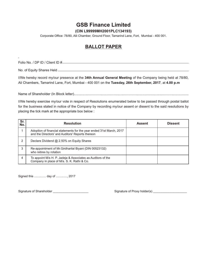# **GSB Finance Limited**

# **(CIN L99999MH2001PLC134193)**

Corporate Office: 78/80, Alli Chamber, Ground Floor, Tamarind Lane, Fort, Mumbai - 400 001.

# **BALLOT PAPER**

' Folio No. / DP ID / Client ID #

No. of Equity Shares Held

I/We hereby record my/our presence at the **34th Annual General Meeting** of the Company being held at 78/80, Ali Chambers, Tamarind Lane, Fort, Mumbai - 400 001 on the **Tuesday, 26th September, 2017**, at **4.00 p.m**

Name of Shareholder (In Block letter)..........................................................................................................................

I/We hereby exercise my/our vote in respect of Resolutions enumerated below to be passed through postal ballot for the business stated in notice of the Company by recording my/our assent or dissent to the said resolutions by placing the tick mark at the appropriate box below :

| Sr.<br>No. | <b>Resolution</b>                                                                                                        | <b>Assent</b> | <b>Dissent</b> |
|------------|--------------------------------------------------------------------------------------------------------------------------|---------------|----------------|
|            | Adoption of financial statements for the year ended 31st March, 2017<br>and the Directors' and Auditors' Reports thereon |               |                |
| 2          | Declare Dividend @ 2.50% on Equity Shares                                                                                |               |                |
| 3          | Re-appointment of Mr. Girdharilal Biyani (DIN 00523132)<br>who retires by rotation                                       |               |                |
| 4          | To appoint M/s H. P. Jadeja & Associates as Auditors of the<br>Company in place of M/s. S. K. Rathi & Co.                |               |                |

Signed this .............. day of ............., 2017

Signature of Shareholder \_\_\_\_\_\_\_\_\_\_\_\_\_\_\_\_\_\_\_\_\_ Signature of Proxy holder(s) \_\_\_\_\_\_\_\_\_\_\_\_\_\_\_\_\_\_\_\_